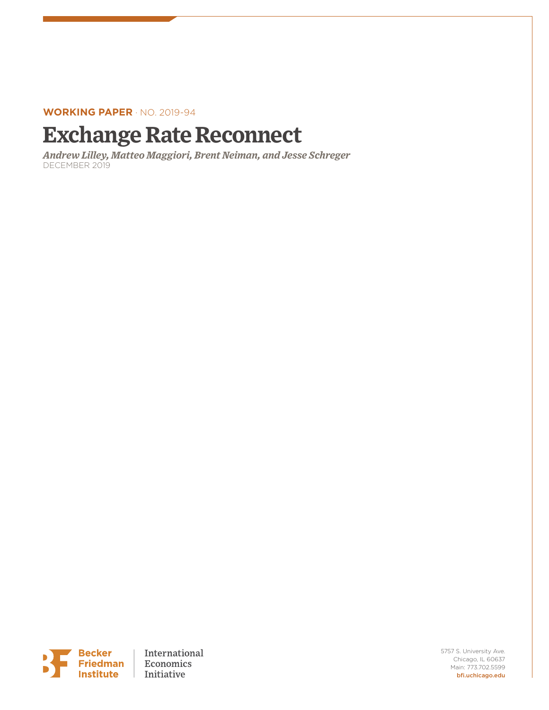### **WORKING PAPER** · NO. 2019-94

# **Exchange Rate Reconnect**

*Andrew Lilley, Matteo Maggiori, Brent Neiman, and Jesse Schreger*  DECEMBER 2019



5757 S. University Ave. Chicago, IL 60637 Main: 773.702.5599 bfi.uchicago.edu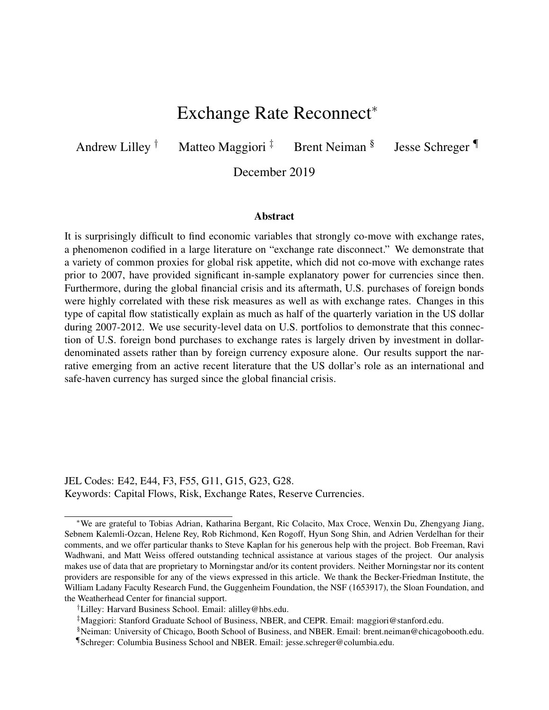## Exchange Rate Reconnect<sup>∗</sup>

Andrew Lilley  $\dagger$  Matteo Maggiori  $\dagger$  Brent Neiman  $\delta$ 

Jesse Schreger ¶

December 2019

#### Abstract

It is surprisingly difficult to find economic variables that strongly co-move with exchange rates, a phenomenon codified in a large literature on "exchange rate disconnect." We demonstrate that a variety of common proxies for global risk appetite, which did not co-move with exchange rates prior to 2007, have provided significant in-sample explanatory power for currencies since then. Furthermore, during the global financial crisis and its aftermath, U.S. purchases of foreign bonds were highly correlated with these risk measures as well as with exchange rates. Changes in this type of capital flow statistically explain as much as half of the quarterly variation in the US dollar during 2007-2012. We use security-level data on U.S. portfolios to demonstrate that this connection of U.S. foreign bond purchases to exchange rates is largely driven by investment in dollardenominated assets rather than by foreign currency exposure alone. Our results support the narrative emerging from an active recent literature that the US dollar's role as an international and safe-haven currency has surged since the global financial crisis.

JEL Codes: E42, E44, F3, F55, G11, G15, G23, G28. Keywords: Capital Flows, Risk, Exchange Rates, Reserve Currencies.

<sup>∗</sup>We are grateful to Tobias Adrian, Katharina Bergant, Ric Colacito, Max Croce, Wenxin Du, Zhengyang Jiang, Sebnem Kalemli-Ozcan, Helene Rey, Rob Richmond, Ken Rogoff, Hyun Song Shin, and Adrien Verdelhan for their comments, and we offer particular thanks to Steve Kaplan for his generous help with the project. Bob Freeman, Ravi Wadhwani, and Matt Weiss offered outstanding technical assistance at various stages of the project. Our analysis makes use of data that are proprietary to Morningstar and/or its content providers. Neither Morningstar nor its content providers are responsible for any of the views expressed in this article. We thank the Becker-Friedman Institute, the William Ladany Faculty Research Fund, the Guggenheim Foundation, the NSF (1653917), the Sloan Foundation, and the Weatherhead Center for financial support.

<sup>†</sup>Lilley: Harvard Business School. Email: alilley@hbs.edu.

<sup>‡</sup>Maggiori: Stanford Graduate School of Business, NBER, and CEPR. Email: maggiori@stanford.edu.

<sup>§</sup>Neiman: University of Chicago, Booth School of Business, and NBER. Email: brent.neiman@chicagobooth.edu. ¶Schreger: Columbia Business School and NBER. Email: jesse.schreger@columbia.edu.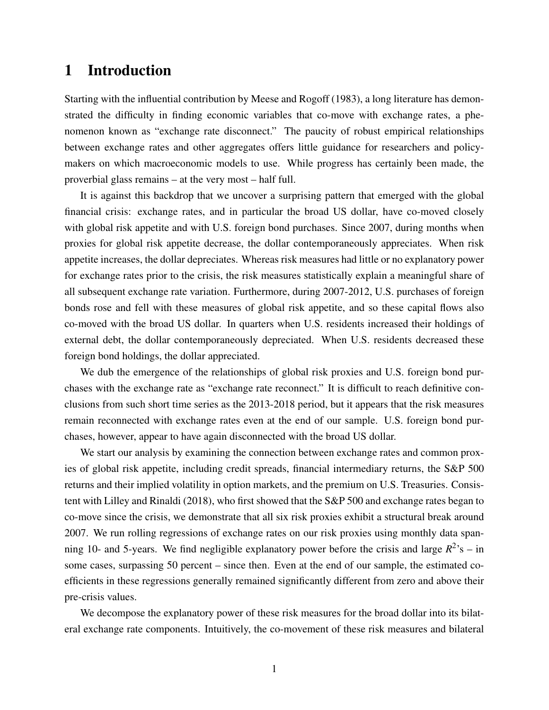### 1 Introduction

Starting with the influential contribution by Meese and Rogoff (1983), a long literature has demonstrated the difficulty in finding economic variables that co-move with exchange rates, a phenomenon known as "exchange rate disconnect." The paucity of robust empirical relationships between exchange rates and other aggregates offers little guidance for researchers and policymakers on which macroeconomic models to use. While progress has certainly been made, the proverbial glass remains – at the very most – half full.

It is against this backdrop that we uncover a surprising pattern that emerged with the global financial crisis: exchange rates, and in particular the broad US dollar, have co-moved closely with global risk appetite and with U.S. foreign bond purchases. Since 2007, during months when proxies for global risk appetite decrease, the dollar contemporaneously appreciates. When risk appetite increases, the dollar depreciates. Whereas risk measures had little or no explanatory power for exchange rates prior to the crisis, the risk measures statistically explain a meaningful share of all subsequent exchange rate variation. Furthermore, during 2007-2012, U.S. purchases of foreign bonds rose and fell with these measures of global risk appetite, and so these capital flows also co-moved with the broad US dollar. In quarters when U.S. residents increased their holdings of external debt, the dollar contemporaneously depreciated. When U.S. residents decreased these foreign bond holdings, the dollar appreciated.

We dub the emergence of the relationships of global risk proxies and U.S. foreign bond purchases with the exchange rate as "exchange rate reconnect." It is difficult to reach definitive conclusions from such short time series as the 2013-2018 period, but it appears that the risk measures remain reconnected with exchange rates even at the end of our sample. U.S. foreign bond purchases, however, appear to have again disconnected with the broad US dollar.

We start our analysis by examining the connection between exchange rates and common proxies of global risk appetite, including credit spreads, financial intermediary returns, the S&P 500 returns and their implied volatility in option markets, and the premium on U.S. Treasuries. Consistent with Lilley and Rinaldi (2018), who first showed that the S&P 500 and exchange rates began to co-move since the crisis, we demonstrate that all six risk proxies exhibit a structural break around 2007. We run rolling regressions of exchange rates on our risk proxies using monthly data spanning 10- and 5-years. We find negligible explanatory power before the crisis and large  $R^2$ 's – in some cases, surpassing 50 percent – since then. Even at the end of our sample, the estimated coefficients in these regressions generally remained significantly different from zero and above their pre-crisis values.

We decompose the explanatory power of these risk measures for the broad dollar into its bilateral exchange rate components. Intuitively, the co-movement of these risk measures and bilateral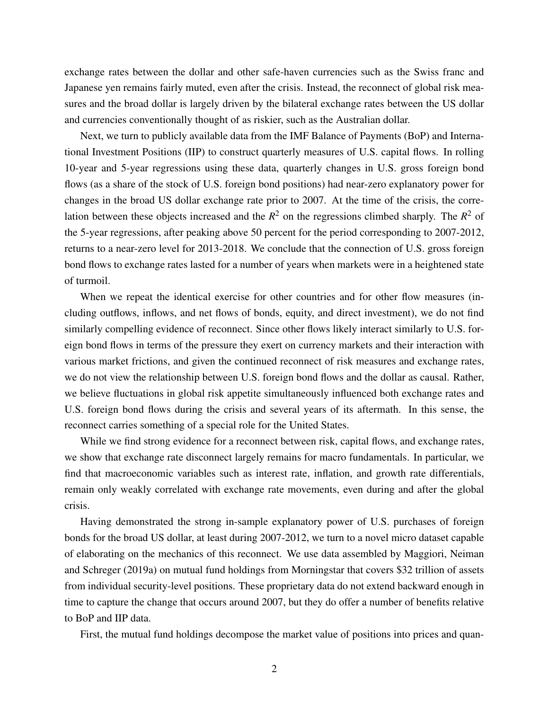exchange rates between the dollar and other safe-haven currencies such as the Swiss franc and Japanese yen remains fairly muted, even after the crisis. Instead, the reconnect of global risk measures and the broad dollar is largely driven by the bilateral exchange rates between the US dollar and currencies conventionally thought of as riskier, such as the Australian dollar.

Next, we turn to publicly available data from the IMF Balance of Payments (BoP) and International Investment Positions (IIP) to construct quarterly measures of U.S. capital flows. In rolling 10-year and 5-year regressions using these data, quarterly changes in U.S. gross foreign bond flows (as a share of the stock of U.S. foreign bond positions) had near-zero explanatory power for changes in the broad US dollar exchange rate prior to 2007. At the time of the crisis, the correlation between these objects increased and the  $R^2$  on the regressions climbed sharply. The  $R^2$  of the 5-year regressions, after peaking above 50 percent for the period corresponding to 2007-2012, returns to a near-zero level for 2013-2018. We conclude that the connection of U.S. gross foreign bond flows to exchange rates lasted for a number of years when markets were in a heightened state of turmoil.

When we repeat the identical exercise for other countries and for other flow measures (including outflows, inflows, and net flows of bonds, equity, and direct investment), we do not find similarly compelling evidence of reconnect. Since other flows likely interact similarly to U.S. foreign bond flows in terms of the pressure they exert on currency markets and their interaction with various market frictions, and given the continued reconnect of risk measures and exchange rates, we do not view the relationship between U.S. foreign bond flows and the dollar as causal. Rather, we believe fluctuations in global risk appetite simultaneously influenced both exchange rates and U.S. foreign bond flows during the crisis and several years of its aftermath. In this sense, the reconnect carries something of a special role for the United States.

While we find strong evidence for a reconnect between risk, capital flows, and exchange rates, we show that exchange rate disconnect largely remains for macro fundamentals. In particular, we find that macroeconomic variables such as interest rate, inflation, and growth rate differentials, remain only weakly correlated with exchange rate movements, even during and after the global crisis.

Having demonstrated the strong in-sample explanatory power of U.S. purchases of foreign bonds for the broad US dollar, at least during 2007-2012, we turn to a novel micro dataset capable of elaborating on the mechanics of this reconnect. We use data assembled by Maggiori, Neiman and Schreger (2019a) on mutual fund holdings from Morningstar that covers \$32 trillion of assets from individual security-level positions. These proprietary data do not extend backward enough in time to capture the change that occurs around 2007, but they do offer a number of benefits relative to BoP and IIP data.

First, the mutual fund holdings decompose the market value of positions into prices and quan-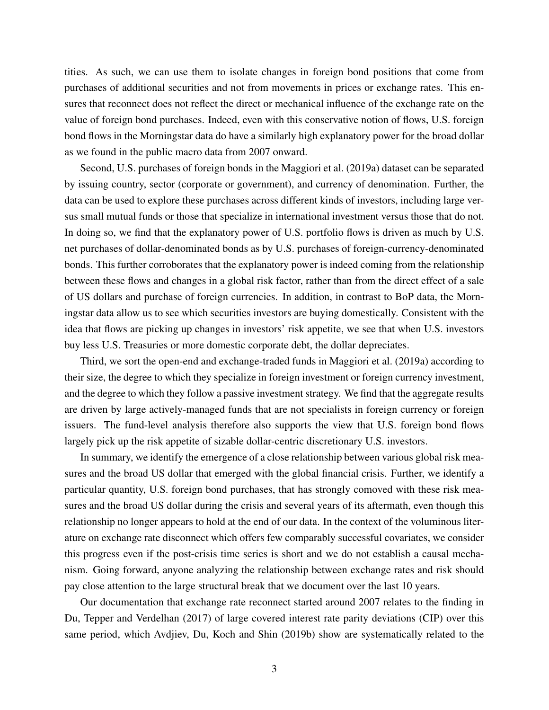tities. As such, we can use them to isolate changes in foreign bond positions that come from purchases of additional securities and not from movements in prices or exchange rates. This ensures that reconnect does not reflect the direct or mechanical influence of the exchange rate on the value of foreign bond purchases. Indeed, even with this conservative notion of flows, U.S. foreign bond flows in the Morningstar data do have a similarly high explanatory power for the broad dollar as we found in the public macro data from 2007 onward.

Second, U.S. purchases of foreign bonds in the Maggiori et al. (2019a) dataset can be separated by issuing country, sector (corporate or government), and currency of denomination. Further, the data can be used to explore these purchases across different kinds of investors, including large versus small mutual funds or those that specialize in international investment versus those that do not. In doing so, we find that the explanatory power of U.S. portfolio flows is driven as much by U.S. net purchases of dollar-denominated bonds as by U.S. purchases of foreign-currency-denominated bonds. This further corroborates that the explanatory power is indeed coming from the relationship between these flows and changes in a global risk factor, rather than from the direct effect of a sale of US dollars and purchase of foreign currencies. In addition, in contrast to BoP data, the Morningstar data allow us to see which securities investors are buying domestically. Consistent with the idea that flows are picking up changes in investors' risk appetite, we see that when U.S. investors buy less U.S. Treasuries or more domestic corporate debt, the dollar depreciates.

Third, we sort the open-end and exchange-traded funds in Maggiori et al. (2019a) according to their size, the degree to which they specialize in foreign investment or foreign currency investment, and the degree to which they follow a passive investment strategy. We find that the aggregate results are driven by large actively-managed funds that are not specialists in foreign currency or foreign issuers. The fund-level analysis therefore also supports the view that U.S. foreign bond flows largely pick up the risk appetite of sizable dollar-centric discretionary U.S. investors.

In summary, we identify the emergence of a close relationship between various global risk measures and the broad US dollar that emerged with the global financial crisis. Further, we identify a particular quantity, U.S. foreign bond purchases, that has strongly comoved with these risk measures and the broad US dollar during the crisis and several years of its aftermath, even though this relationship no longer appears to hold at the end of our data. In the context of the voluminous literature on exchange rate disconnect which offers few comparably successful covariates, we consider this progress even if the post-crisis time series is short and we do not establish a causal mechanism. Going forward, anyone analyzing the relationship between exchange rates and risk should pay close attention to the large structural break that we document over the last 10 years.

Our documentation that exchange rate reconnect started around 2007 relates to the finding in Du, Tepper and Verdelhan (2017) of large covered interest rate parity deviations (CIP) over this same period, which Avdjiev, Du, Koch and Shin (2019b) show are systematically related to the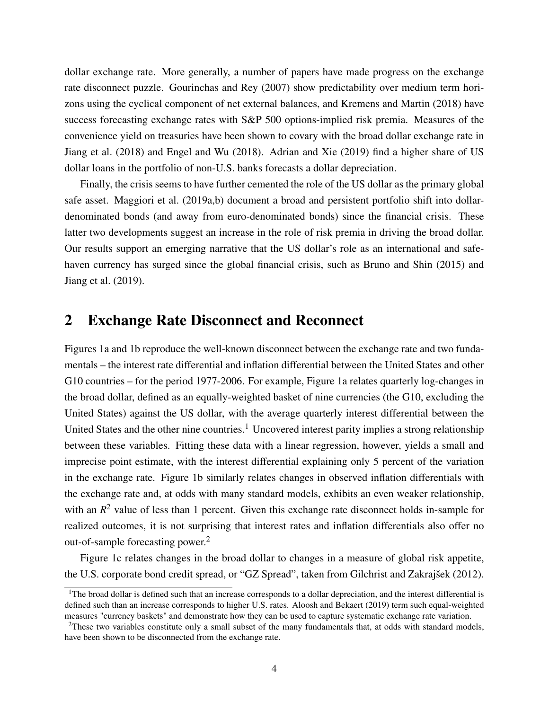dollar exchange rate. More generally, a number of papers have made progress on the exchange rate disconnect puzzle. Gourinchas and Rey (2007) show predictability over medium term horizons using the cyclical component of net external balances, and Kremens and Martin (2018) have success forecasting exchange rates with S&P 500 options-implied risk premia. Measures of the convenience yield on treasuries have been shown to covary with the broad dollar exchange rate in Jiang et al. (2018) and Engel and Wu (2018). Adrian and Xie (2019) find a higher share of US dollar loans in the portfolio of non-U.S. banks forecasts a dollar depreciation.

Finally, the crisis seems to have further cemented the role of the US dollar as the primary global safe asset. Maggiori et al. (2019a,b) document a broad and persistent portfolio shift into dollardenominated bonds (and away from euro-denominated bonds) since the financial crisis. These latter two developments suggest an increase in the role of risk premia in driving the broad dollar. Our results support an emerging narrative that the US dollar's role as an international and safehaven currency has surged since the global financial crisis, such as Bruno and Shin (2015) and Jiang et al. (2019).

### 2 Exchange Rate Disconnect and Reconnect

Figures 1a and 1b reproduce the well-known disconnect between the exchange rate and two fundamentals – the interest rate differential and inflation differential between the United States and other G10 countries – for the period 1977-2006. For example, Figure 1a relates quarterly log-changes in the broad dollar, defined as an equally-weighted basket of nine currencies (the G10, excluding the United States) against the US dollar, with the average quarterly interest differential between the United States and the other nine countries.<sup>1</sup> Uncovered interest parity implies a strong relationship between these variables. Fitting these data with a linear regression, however, yields a small and imprecise point estimate, with the interest differential explaining only 5 percent of the variation in the exchange rate. Figure 1b similarly relates changes in observed inflation differentials with the exchange rate and, at odds with many standard models, exhibits an even weaker relationship, with an  $R^2$  value of less than 1 percent. Given this exchange rate disconnect holds in-sample for realized outcomes, it is not surprising that interest rates and inflation differentials also offer no out-of-sample forecasting power.<sup>2</sup>

Figure 1c relates changes in the broad dollar to changes in a measure of global risk appetite, the U.S. corporate bond credit spread, or "GZ Spread", taken from Gilchrist and Zakrajšek (2012).

<sup>&</sup>lt;sup>1</sup>The broad dollar is defined such that an increase corresponds to a dollar depreciation, and the interest differential is defined such than an increase corresponds to higher U.S. rates. Aloosh and Bekaert (2019) term such equal-weighted measures "currency baskets" and demonstrate how they can be used to capture systematic exchange rate variation.

<sup>&</sup>lt;sup>2</sup>These two variables constitute only a small subset of the many fundamentals that, at odds with standard models, have been shown to be disconnected from the exchange rate.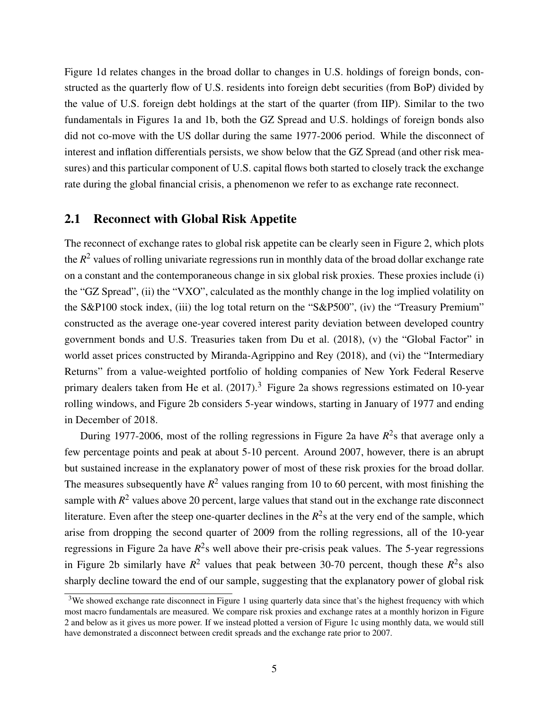Figure 1d relates changes in the broad dollar to changes in U.S. holdings of foreign bonds, constructed as the quarterly flow of U.S. residents into foreign debt securities (from BoP) divided by the value of U.S. foreign debt holdings at the start of the quarter (from IIP). Similar to the two fundamentals in Figures 1a and 1b, both the GZ Spread and U.S. holdings of foreign bonds also did not co-move with the US dollar during the same 1977-2006 period. While the disconnect of interest and inflation differentials persists, we show below that the GZ Spread (and other risk measures) and this particular component of U.S. capital flows both started to closely track the exchange rate during the global financial crisis, a phenomenon we refer to as exchange rate reconnect.

### 2.1 Reconnect with Global Risk Appetite

The reconnect of exchange rates to global risk appetite can be clearly seen in Figure 2, which plots the *R* <sup>2</sup> values of rolling univariate regressions run in monthly data of the broad dollar exchange rate on a constant and the contemporaneous change in six global risk proxies. These proxies include (i) the "GZ Spread", (ii) the "VXO", calculated as the monthly change in the log implied volatility on the S&P100 stock index, (iii) the log total return on the "S&P500", (iv) the "Treasury Premium" constructed as the average one-year covered interest parity deviation between developed country government bonds and U.S. Treasuries taken from Du et al. (2018), (v) the "Global Factor" in world asset prices constructed by Miranda-Agrippino and Rey (2018), and (vi) the "Intermediary Returns" from a value-weighted portfolio of holding companies of New York Federal Reserve primary dealers taken from He et al.  $(2017)$ .<sup>3</sup> Figure 2a shows regressions estimated on 10-year rolling windows, and Figure 2b considers 5-year windows, starting in January of 1977 and ending in December of 2018.

During 1977-2006, most of the rolling regressions in Figure 2a have  $R^2$ s that average only a few percentage points and peak at about 5-10 percent. Around 2007, however, there is an abrupt but sustained increase in the explanatory power of most of these risk proxies for the broad dollar. The measures subsequently have  $R^2$  values ranging from 10 to 60 percent, with most finishing the sample with  $R^2$  values above 20 percent, large values that stand out in the exchange rate disconnect literature. Even after the steep one-quarter declines in the  $R^2$ s at the very end of the sample, which arise from dropping the second quarter of 2009 from the rolling regressions, all of the 10-year regressions in Figure 2a have *R* 2 s well above their pre-crisis peak values. The 5-year regressions in Figure 2b similarly have  $R^2$  values that peak between 30-70 percent, though these  $R^2$ s also sharply decline toward the end of our sample, suggesting that the explanatory power of global risk

<sup>&</sup>lt;sup>3</sup>We showed exchange rate disconnect in Figure 1 using quarterly data since that's the highest frequency with which most macro fundamentals are measured. We compare risk proxies and exchange rates at a monthly horizon in Figure 2 and below as it gives us more power. If we instead plotted a version of Figure 1c using monthly data, we would still have demonstrated a disconnect between credit spreads and the exchange rate prior to 2007.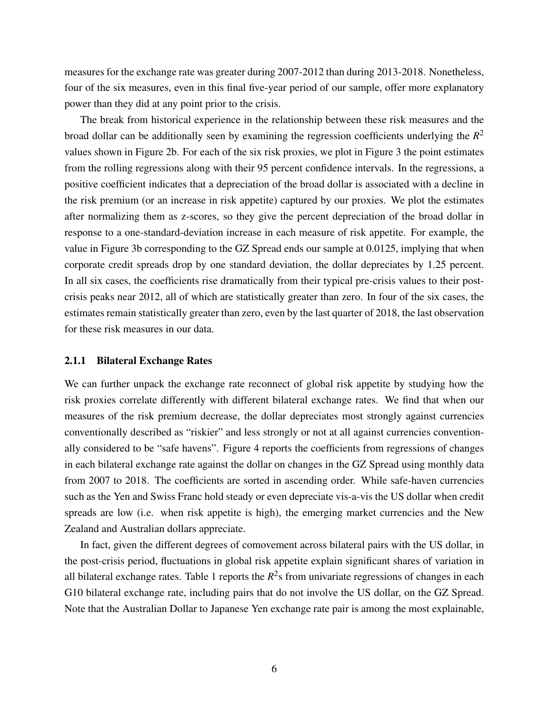measures for the exchange rate was greater during 2007-2012 than during 2013-2018. Nonetheless, four of the six measures, even in this final five-year period of our sample, offer more explanatory power than they did at any point prior to the crisis.

The break from historical experience in the relationship between these risk measures and the broad dollar can be additionally seen by examining the regression coefficients underlying the *R* 2 values shown in Figure 2b. For each of the six risk proxies, we plot in Figure 3 the point estimates from the rolling regressions along with their 95 percent confidence intervals. In the regressions, a positive coefficient indicates that a depreciation of the broad dollar is associated with a decline in the risk premium (or an increase in risk appetite) captured by our proxies. We plot the estimates after normalizing them as z-scores, so they give the percent depreciation of the broad dollar in response to a one-standard-deviation increase in each measure of risk appetite. For example, the value in Figure 3b corresponding to the GZ Spread ends our sample at 0.0125, implying that when corporate credit spreads drop by one standard deviation, the dollar depreciates by 1.25 percent. In all six cases, the coefficients rise dramatically from their typical pre-crisis values to their postcrisis peaks near 2012, all of which are statistically greater than zero. In four of the six cases, the estimates remain statistically greater than zero, even by the last quarter of 2018, the last observation for these risk measures in our data.

### 2.1.1 Bilateral Exchange Rates

We can further unpack the exchange rate reconnect of global risk appetite by studying how the risk proxies correlate differently with different bilateral exchange rates. We find that when our measures of the risk premium decrease, the dollar depreciates most strongly against currencies conventionally described as "riskier" and less strongly or not at all against currencies conventionally considered to be "safe havens". Figure 4 reports the coefficients from regressions of changes in each bilateral exchange rate against the dollar on changes in the GZ Spread using monthly data from 2007 to 2018. The coefficients are sorted in ascending order. While safe-haven currencies such as the Yen and Swiss Franc hold steady or even depreciate vis-a-vis the US dollar when credit spreads are low (i.e. when risk appetite is high), the emerging market currencies and the New Zealand and Australian dollars appreciate.

In fact, given the different degrees of comovement across bilateral pairs with the US dollar, in the post-crisis period, fluctuations in global risk appetite explain significant shares of variation in all bilateral exchange rates. Table 1 reports the  $R^2$ s from univariate regressions of changes in each G10 bilateral exchange rate, including pairs that do not involve the US dollar, on the GZ Spread. Note that the Australian Dollar to Japanese Yen exchange rate pair is among the most explainable,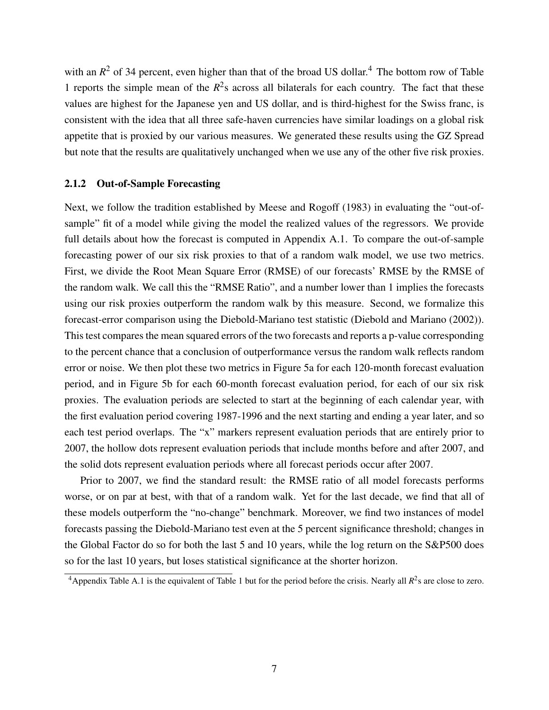with an  $R^2$  of 34 percent, even higher than that of the broad US dollar.<sup>4</sup> The bottom row of Table 1 reports the simple mean of the  $R^2$ s across all bilaterals for each country. The fact that these values are highest for the Japanese yen and US dollar, and is third-highest for the Swiss franc, is consistent with the idea that all three safe-haven currencies have similar loadings on a global risk appetite that is proxied by our various measures. We generated these results using the GZ Spread but note that the results are qualitatively unchanged when we use any of the other five risk proxies.

### 2.1.2 Out-of-Sample Forecasting

Next, we follow the tradition established by Meese and Rogoff (1983) in evaluating the "out-ofsample" fit of a model while giving the model the realized values of the regressors. We provide full details about how the forecast is computed in Appendix A.1. To compare the out-of-sample forecasting power of our six risk proxies to that of a random walk model, we use two metrics. First, we divide the Root Mean Square Error (RMSE) of our forecasts' RMSE by the RMSE of the random walk. We call this the "RMSE Ratio", and a number lower than 1 implies the forecasts using our risk proxies outperform the random walk by this measure. Second, we formalize this forecast-error comparison using the Diebold-Mariano test statistic (Diebold and Mariano (2002)). This test compares the mean squared errors of the two forecasts and reports a p-value corresponding to the percent chance that a conclusion of outperformance versus the random walk reflects random error or noise. We then plot these two metrics in Figure 5a for each 120-month forecast evaluation period, and in Figure 5b for each 60-month forecast evaluation period, for each of our six risk proxies. The evaluation periods are selected to start at the beginning of each calendar year, with the first evaluation period covering 1987-1996 and the next starting and ending a year later, and so each test period overlaps. The "x" markers represent evaluation periods that are entirely prior to 2007, the hollow dots represent evaluation periods that include months before and after 2007, and the solid dots represent evaluation periods where all forecast periods occur after 2007.

Prior to 2007, we find the standard result: the RMSE ratio of all model forecasts performs worse, or on par at best, with that of a random walk. Yet for the last decade, we find that all of these models outperform the "no-change" benchmark. Moreover, we find two instances of model forecasts passing the Diebold-Mariano test even at the 5 percent significance threshold; changes in the Global Factor do so for both the last 5 and 10 years, while the log return on the S&P500 does so for the last 10 years, but loses statistical significance at the shorter horizon.

<sup>&</sup>lt;sup>4</sup> Appendix Table A.1 is the equivalent of Table 1 but for the period before the crisis. Nearly all  $R^2$ s are close to zero.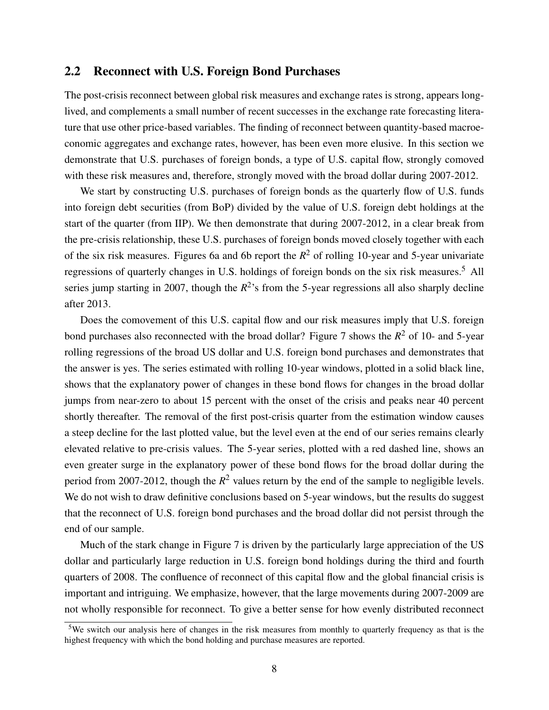### 2.2 Reconnect with U.S. Foreign Bond Purchases

The post-crisis reconnect between global risk measures and exchange rates is strong, appears longlived, and complements a small number of recent successes in the exchange rate forecasting literature that use other price-based variables. The finding of reconnect between quantity-based macroeconomic aggregates and exchange rates, however, has been even more elusive. In this section we demonstrate that U.S. purchases of foreign bonds, a type of U.S. capital flow, strongly comoved with these risk measures and, therefore, strongly moved with the broad dollar during 2007-2012.

We start by constructing U.S. purchases of foreign bonds as the quarterly flow of U.S. funds into foreign debt securities (from BoP) divided by the value of U.S. foreign debt holdings at the start of the quarter (from IIP). We then demonstrate that during 2007-2012, in a clear break from the pre-crisis relationship, these U.S. purchases of foreign bonds moved closely together with each of the six risk measures. Figures 6a and 6b report the *R* <sup>2</sup> of rolling 10-year and 5-year univariate regressions of quarterly changes in U.S. holdings of foreign bonds on the six risk measures.<sup>5</sup> All series jump starting in 2007, though the  $R^2$ 's from the 5-year regressions all also sharply decline after 2013.

Does the comovement of this U.S. capital flow and our risk measures imply that U.S. foreign bond purchases also reconnected with the broad dollar? Figure 7 shows the *R* <sup>2</sup> of 10- and 5-year rolling regressions of the broad US dollar and U.S. foreign bond purchases and demonstrates that the answer is yes. The series estimated with rolling 10-year windows, plotted in a solid black line, shows that the explanatory power of changes in these bond flows for changes in the broad dollar jumps from near-zero to about 15 percent with the onset of the crisis and peaks near 40 percent shortly thereafter. The removal of the first post-crisis quarter from the estimation window causes a steep decline for the last plotted value, but the level even at the end of our series remains clearly elevated relative to pre-crisis values. The 5-year series, plotted with a red dashed line, shows an even greater surge in the explanatory power of these bond flows for the broad dollar during the period from 2007-2012, though the  $R^2$  values return by the end of the sample to negligible levels. We do not wish to draw definitive conclusions based on 5-year windows, but the results do suggest that the reconnect of U.S. foreign bond purchases and the broad dollar did not persist through the end of our sample.

Much of the stark change in Figure 7 is driven by the particularly large appreciation of the US dollar and particularly large reduction in U.S. foreign bond holdings during the third and fourth quarters of 2008. The confluence of reconnect of this capital flow and the global financial crisis is important and intriguing. We emphasize, however, that the large movements during 2007-2009 are not wholly responsible for reconnect. To give a better sense for how evenly distributed reconnect

<sup>&</sup>lt;sup>5</sup>We switch our analysis here of changes in the risk measures from monthly to quarterly frequency as that is the highest frequency with which the bond holding and purchase measures are reported.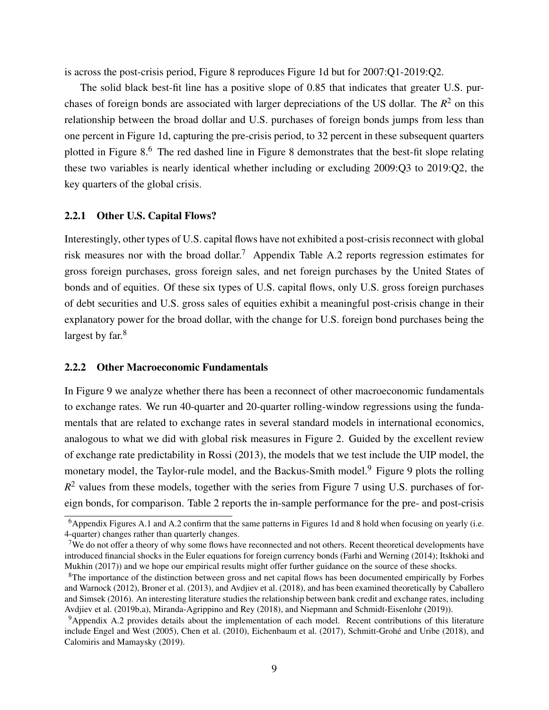is across the post-crisis period, Figure 8 reproduces Figure 1d but for 2007:Q1-2019:Q2.

The solid black best-fit line has a positive slope of 0.85 that indicates that greater U.S. purchases of foreign bonds are associated with larger depreciations of the US dollar. The *R* <sup>2</sup> on this relationship between the broad dollar and U.S. purchases of foreign bonds jumps from less than one percent in Figure 1d, capturing the pre-crisis period, to 32 percent in these subsequent quarters plotted in Figure 8.<sup>6</sup> The red dashed line in Figure 8 demonstrates that the best-fit slope relating these two variables is nearly identical whether including or excluding 2009:Q3 to 2019:Q2, the key quarters of the global crisis.

#### 2.2.1 Other U.S. Capital Flows?

Interestingly, other types of U.S. capital flows have not exhibited a post-crisis reconnect with global risk measures nor with the broad dollar.<sup>7</sup> Appendix Table A.2 reports regression estimates for gross foreign purchases, gross foreign sales, and net foreign purchases by the United States of bonds and of equities. Of these six types of U.S. capital flows, only U.S. gross foreign purchases of debt securities and U.S. gross sales of equities exhibit a meaningful post-crisis change in their explanatory power for the broad dollar, with the change for U.S. foreign bond purchases being the largest by far.<sup>8</sup>

#### 2.2.2 Other Macroeconomic Fundamentals

In Figure 9 we analyze whether there has been a reconnect of other macroeconomic fundamentals to exchange rates. We run 40-quarter and 20-quarter rolling-window regressions using the fundamentals that are related to exchange rates in several standard models in international economics, analogous to what we did with global risk measures in Figure 2. Guided by the excellent review of exchange rate predictability in Rossi (2013), the models that we test include the UIP model, the monetary model, the Taylor-rule model, and the Backus-Smith model.<sup>9</sup> Figure 9 plots the rolling  $R<sup>2</sup>$  values from these models, together with the series from Figure 7 using U.S. purchases of foreign bonds, for comparison. Table 2 reports the in-sample performance for the pre- and post-crisis

 $6$ Appendix Figures A.1 and A.2 confirm that the same patterns in Figures 1d and 8 hold when focusing on yearly (i.e. 4-quarter) changes rather than quarterly changes.

<sup>&</sup>lt;sup>7</sup>We do not offer a theory of why some flows have reconnected and not others. Recent theoretical developments have introduced financial shocks in the Euler equations for foreign currency bonds (Farhi and Werning (2014); Itskhoki and Mukhin (2017)) and we hope our empirical results might offer further guidance on the source of these shocks.

<sup>&</sup>lt;sup>8</sup>The importance of the distinction between gross and net capital flows has been documented empirically by Forbes and Warnock (2012), Broner et al. (2013), and Avdjiev et al. (2018), and has been examined theoretically by Caballero and Simsek (2016). An interesting literature studies the relationship between bank credit and exchange rates, including Avdjiev et al. (2019b,a), Miranda-Agrippino and Rey (2018), and Niepmann and Schmidt-Eisenlohr (2019)).

<sup>9</sup>Appendix A.2 provides details about the implementation of each model. Recent contributions of this literature include Engel and West (2005), Chen et al. (2010), Eichenbaum et al. (2017), Schmitt-Grohé and Uribe (2018), and Calomiris and Mamaysky (2019).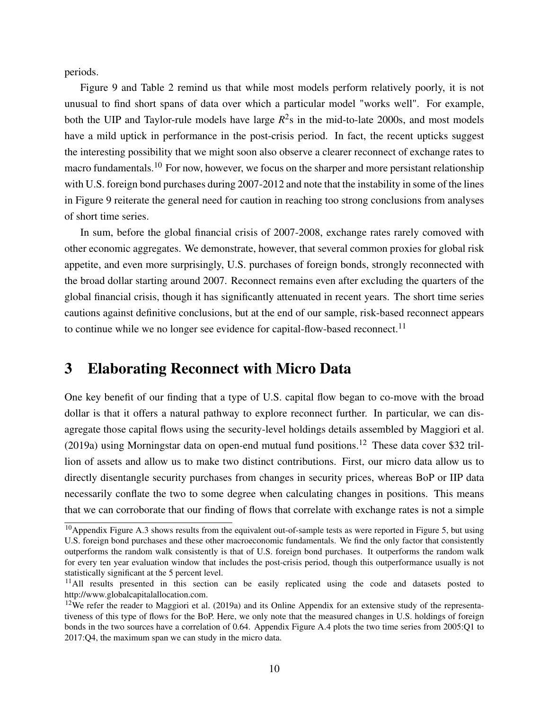periods.

Figure 9 and Table 2 remind us that while most models perform relatively poorly, it is not unusual to find short spans of data over which a particular model "works well". For example, both the UIP and Taylor-rule models have large  $R^2$ s in the mid-to-late 2000s, and most models have a mild uptick in performance in the post-crisis period. In fact, the recent upticks suggest the interesting possibility that we might soon also observe a clearer reconnect of exchange rates to macro fundamentals.<sup>10</sup> For now, however, we focus on the sharper and more persistant relationship with U.S. foreign bond purchases during 2007-2012 and note that the instability in some of the lines in Figure 9 reiterate the general need for caution in reaching too strong conclusions from analyses of short time series.

In sum, before the global financial crisis of 2007-2008, exchange rates rarely comoved with other economic aggregates. We demonstrate, however, that several common proxies for global risk appetite, and even more surprisingly, U.S. purchases of foreign bonds, strongly reconnected with the broad dollar starting around 2007. Reconnect remains even after excluding the quarters of the global financial crisis, though it has significantly attenuated in recent years. The short time series cautions against definitive conclusions, but at the end of our sample, risk-based reconnect appears to continue while we no longer see evidence for capital-flow-based reconnect.<sup>11</sup>

### 3 Elaborating Reconnect with Micro Data

One key benefit of our finding that a type of U.S. capital flow began to co-move with the broad dollar is that it offers a natural pathway to explore reconnect further. In particular, we can disagregate those capital flows using the security-level holdings details assembled by Maggiori et al. (2019a) using Morningstar data on open-end mutual fund positions.<sup>12</sup> These data cover \$32 trillion of assets and allow us to make two distinct contributions. First, our micro data allow us to directly disentangle security purchases from changes in security prices, whereas BoP or IIP data necessarily conflate the two to some degree when calculating changes in positions. This means that we can corroborate that our finding of flows that correlate with exchange rates is not a simple

 $10$ Appendix Figure A.3 shows results from the equivalent out-of-sample tests as were reported in Figure 5, but using U.S. foreign bond purchases and these other macroeconomic fundamentals. We find the only factor that consistently outperforms the random walk consistently is that of U.S. foreign bond purchases. It outperforms the random walk for every ten year evaluation window that includes the post-crisis period, though this outperformance usually is not statistically significant at the 5 percent level.

<sup>&</sup>lt;sup>11</sup>All results presented in this section can be easily replicated using the code and datasets posted to http://www.globalcapitalallocation.com.

<sup>&</sup>lt;sup>12</sup>We refer the reader to Maggiori et al. (2019a) and its Online Appendix for an extensive study of the representativeness of this type of flows for the BoP. Here, we only note that the measured changes in U.S. holdings of foreign bonds in the two sources have a correlation of 0.64. Appendix Figure A.4 plots the two time series from 2005:Q1 to 2017:Q4, the maximum span we can study in the micro data.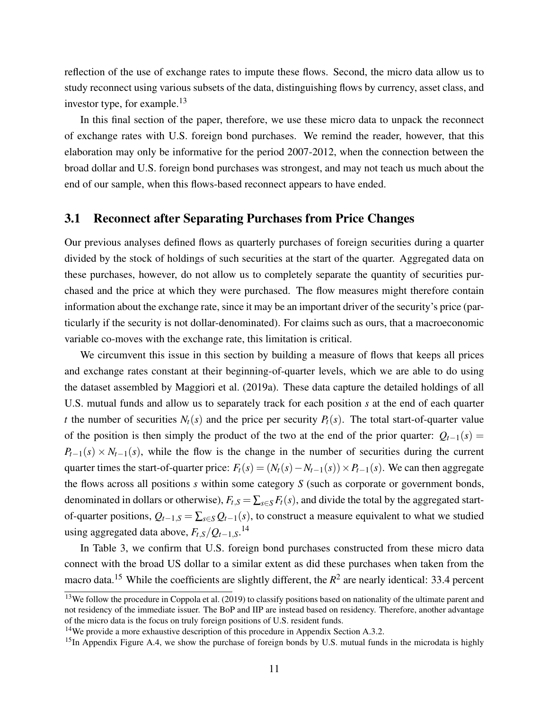reflection of the use of exchange rates to impute these flows. Second, the micro data allow us to study reconnect using various subsets of the data, distinguishing flows by currency, asset class, and investor type, for example. $^{13}$ 

In this final section of the paper, therefore, we use these micro data to unpack the reconnect of exchange rates with U.S. foreign bond purchases. We remind the reader, however, that this elaboration may only be informative for the period 2007-2012, when the connection between the broad dollar and U.S. foreign bond purchases was strongest, and may not teach us much about the end of our sample, when this flows-based reconnect appears to have ended.

### 3.1 Reconnect after Separating Purchases from Price Changes

Our previous analyses defined flows as quarterly purchases of foreign securities during a quarter divided by the stock of holdings of such securities at the start of the quarter. Aggregated data on these purchases, however, do not allow us to completely separate the quantity of securities purchased and the price at which they were purchased. The flow measures might therefore contain information about the exchange rate, since it may be an important driver of the security's price (particularly if the security is not dollar-denominated). For claims such as ours, that a macroeconomic variable co-moves with the exchange rate, this limitation is critical.

We circumvent this issue in this section by building a measure of flows that keeps all prices and exchange rates constant at their beginning-of-quarter levels, which we are able to do using the dataset assembled by Maggiori et al. (2019a). These data capture the detailed holdings of all U.S. mutual funds and allow us to separately track for each position *s* at the end of each quarter *t* the number of securities  $N_t(s)$  and the price per security  $P_t(s)$ . The total start-of-quarter value of the position is then simply the product of the two at the end of the prior quarter:  $Q_{t-1}(s)$  =  $P_{t-1}(s) \times N_{t-1}(s)$ , while the flow is the change in the number of securities during the current quarter times the start-of-quarter price:  $F_t(s) = (N_t(s) - N_{t-1}(s)) \times P_{t-1}(s)$ . We can then aggregate the flows across all positions *s* within some category *S* (such as corporate or government bonds, denominated in dollars or otherwise),  $F_t$ , $S = \sum_{s \in S} F_t(s)$ , and divide the total by the aggregated startof-quarter positions,  $Q_{t-1,S} = \sum_{s \in S} Q_{t-1}(s)$ , to construct a measure equivalent to what we studied using aggregated data above, *Ft*,*S*/*Qt*−1,*S*. 14

In Table 3, we confirm that U.S. foreign bond purchases constructed from these micro data connect with the broad US dollar to a similar extent as did these purchases when taken from the macro data.<sup>15</sup> While the coefficients are slightly different, the  $R^2$  are nearly identical: 33.4 percent

 $13$ We follow the procedure in Coppola et al. (2019) to classify positions based on nationality of the ultimate parent and not residency of the immediate issuer. The BoP and IIP are instead based on residency. Therefore, another advantage of the micro data is the focus on truly foreign positions of U.S. resident funds.

<sup>14</sup>We provide a more exhaustive description of this procedure in Appendix Section A.3.2.

<sup>&</sup>lt;sup>15</sup>In Appendix Figure A.4, we show the purchase of foreign bonds by U.S. mutual funds in the microdata is highly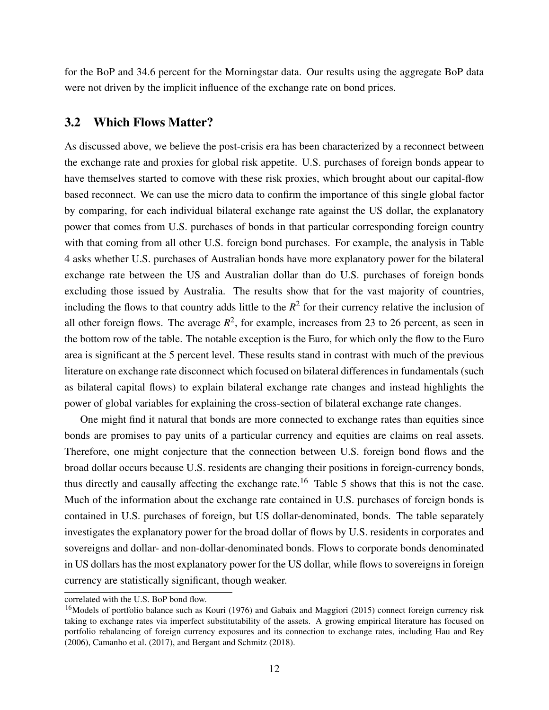for the BoP and 34.6 percent for the Morningstar data. Our results using the aggregate BoP data were not driven by the implicit influence of the exchange rate on bond prices.

### 3.2 Which Flows Matter?

As discussed above, we believe the post-crisis era has been characterized by a reconnect between the exchange rate and proxies for global risk appetite. U.S. purchases of foreign bonds appear to have themselves started to comove with these risk proxies, which brought about our capital-flow based reconnect. We can use the micro data to confirm the importance of this single global factor by comparing, for each individual bilateral exchange rate against the US dollar, the explanatory power that comes from U.S. purchases of bonds in that particular corresponding foreign country with that coming from all other U.S. foreign bond purchases. For example, the analysis in Table 4 asks whether U.S. purchases of Australian bonds have more explanatory power for the bilateral exchange rate between the US and Australian dollar than do U.S. purchases of foreign bonds excluding those issued by Australia. The results show that for the vast majority of countries, including the flows to that country adds little to the  $R^2$  for their currency relative the inclusion of all other foreign flows. The average  $R^2$ , for example, increases from 23 to 26 percent, as seen in the bottom row of the table. The notable exception is the Euro, for which only the flow to the Euro area is significant at the 5 percent level. These results stand in contrast with much of the previous literature on exchange rate disconnect which focused on bilateral differences in fundamentals (such as bilateral capital flows) to explain bilateral exchange rate changes and instead highlights the power of global variables for explaining the cross-section of bilateral exchange rate changes.

One might find it natural that bonds are more connected to exchange rates than equities since bonds are promises to pay units of a particular currency and equities are claims on real assets. Therefore, one might conjecture that the connection between U.S. foreign bond flows and the broad dollar occurs because U.S. residents are changing their positions in foreign-currency bonds, thus directly and causally affecting the exchange rate.<sup>16</sup> Table 5 shows that this is not the case. Much of the information about the exchange rate contained in U.S. purchases of foreign bonds is contained in U.S. purchases of foreign, but US dollar-denominated, bonds. The table separately investigates the explanatory power for the broad dollar of flows by U.S. residents in corporates and sovereigns and dollar- and non-dollar-denominated bonds. Flows to corporate bonds denominated in US dollars has the most explanatory power for the US dollar, while flows to sovereigns in foreign currency are statistically significant, though weaker.

correlated with the U.S. BoP bond flow.

<sup>&</sup>lt;sup>16</sup>Models of portfolio balance such as Kouri (1976) and Gabaix and Maggiori (2015) connect foreign currency risk taking to exchange rates via imperfect substitutability of the assets. A growing empirical literature has focused on portfolio rebalancing of foreign currency exposures and its connection to exchange rates, including Hau and Rey (2006), Camanho et al. (2017), and Bergant and Schmitz (2018).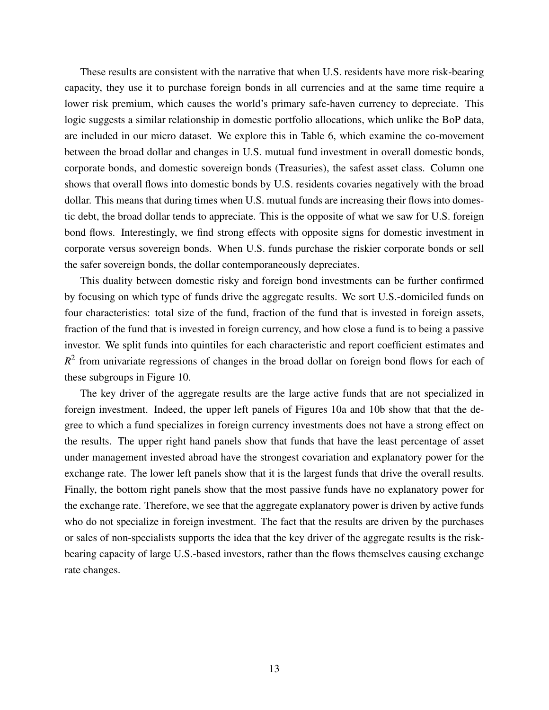These results are consistent with the narrative that when U.S. residents have more risk-bearing capacity, they use it to purchase foreign bonds in all currencies and at the same time require a lower risk premium, which causes the world's primary safe-haven currency to depreciate. This logic suggests a similar relationship in domestic portfolio allocations, which unlike the BoP data, are included in our micro dataset. We explore this in Table 6, which examine the co-movement between the broad dollar and changes in U.S. mutual fund investment in overall domestic bonds, corporate bonds, and domestic sovereign bonds (Treasuries), the safest asset class. Column one shows that overall flows into domestic bonds by U.S. residents covaries negatively with the broad dollar. This means that during times when U.S. mutual funds are increasing their flows into domestic debt, the broad dollar tends to appreciate. This is the opposite of what we saw for U.S. foreign bond flows. Interestingly, we find strong effects with opposite signs for domestic investment in corporate versus sovereign bonds. When U.S. funds purchase the riskier corporate bonds or sell the safer sovereign bonds, the dollar contemporaneously depreciates.

This duality between domestic risky and foreign bond investments can be further confirmed by focusing on which type of funds drive the aggregate results. We sort U.S.-domiciled funds on four characteristics: total size of the fund, fraction of the fund that is invested in foreign assets, fraction of the fund that is invested in foreign currency, and how close a fund is to being a passive investor. We split funds into quintiles for each characteristic and report coefficient estimates and  $R<sup>2</sup>$  from univariate regressions of changes in the broad dollar on foreign bond flows for each of these subgroups in Figure 10.

The key driver of the aggregate results are the large active funds that are not specialized in foreign investment. Indeed, the upper left panels of Figures 10a and 10b show that that the degree to which a fund specializes in foreign currency investments does not have a strong effect on the results. The upper right hand panels show that funds that have the least percentage of asset under management invested abroad have the strongest covariation and explanatory power for the exchange rate. The lower left panels show that it is the largest funds that drive the overall results. Finally, the bottom right panels show that the most passive funds have no explanatory power for the exchange rate. Therefore, we see that the aggregate explanatory power is driven by active funds who do not specialize in foreign investment. The fact that the results are driven by the purchases or sales of non-specialists supports the idea that the key driver of the aggregate results is the riskbearing capacity of large U.S.-based investors, rather than the flows themselves causing exchange rate changes.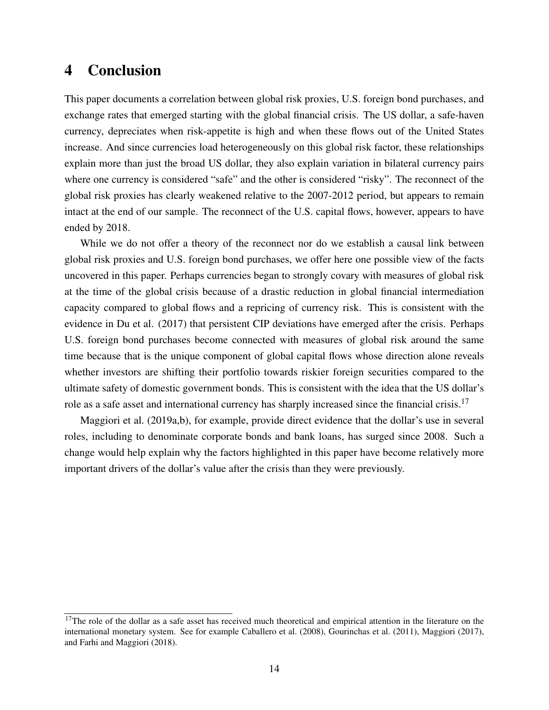### 4 Conclusion

This paper documents a correlation between global risk proxies, U.S. foreign bond purchases, and exchange rates that emerged starting with the global financial crisis. The US dollar, a safe-haven currency, depreciates when risk-appetite is high and when these flows out of the United States increase. And since currencies load heterogeneously on this global risk factor, these relationships explain more than just the broad US dollar, they also explain variation in bilateral currency pairs where one currency is considered "safe" and the other is considered "risky". The reconnect of the global risk proxies has clearly weakened relative to the 2007-2012 period, but appears to remain intact at the end of our sample. The reconnect of the U.S. capital flows, however, appears to have ended by 2018.

While we do not offer a theory of the reconnect nor do we establish a causal link between global risk proxies and U.S. foreign bond purchases, we offer here one possible view of the facts uncovered in this paper. Perhaps currencies began to strongly covary with measures of global risk at the time of the global crisis because of a drastic reduction in global financial intermediation capacity compared to global flows and a repricing of currency risk. This is consistent with the evidence in Du et al. (2017) that persistent CIP deviations have emerged after the crisis. Perhaps U.S. foreign bond purchases become connected with measures of global risk around the same time because that is the unique component of global capital flows whose direction alone reveals whether investors are shifting their portfolio towards riskier foreign securities compared to the ultimate safety of domestic government bonds. This is consistent with the idea that the US dollar's role as a safe asset and international currency has sharply increased since the financial crisis.<sup>17</sup>

Maggiori et al. (2019a,b), for example, provide direct evidence that the dollar's use in several roles, including to denominate corporate bonds and bank loans, has surged since 2008. Such a change would help explain why the factors highlighted in this paper have become relatively more important drivers of the dollar's value after the crisis than they were previously.

<sup>&</sup>lt;sup>17</sup>The role of the dollar as a safe asset has received much theoretical and empirical attention in the literature on the international monetary system. See for example Caballero et al. (2008), Gourinchas et al. (2011), Maggiori (2017), and Farhi and Maggiori (2018).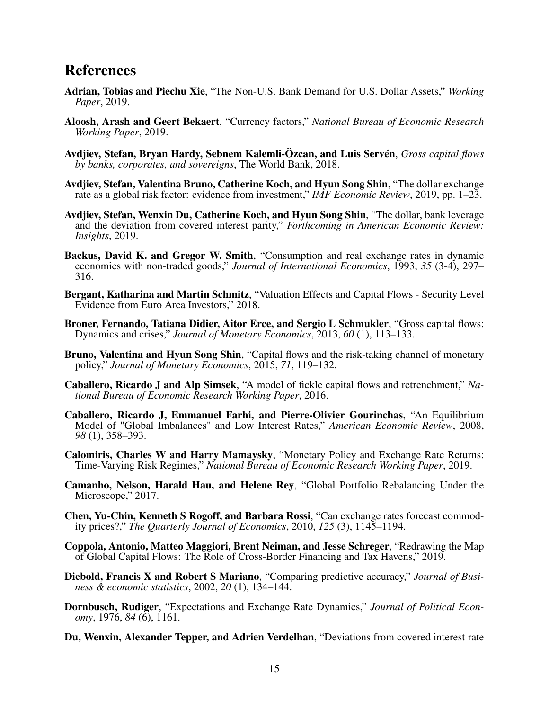### References

- Adrian, Tobias and Piechu Xie, "The Non-U.S. Bank Demand for U.S. Dollar Assets," *Working Paper*, 2019.
- Aloosh, Arash and Geert Bekaert, "Currency factors," *National Bureau of Economic Research Working Paper*, 2019.
- Avdjiev, Stefan, Bryan Hardy, Sebnem Kalemli-Özcan, and Luis Servén, *Gross capital flows by banks, corporates, and sovereigns*, The World Bank, 2018.
- Avdjiev, Stefan, Valentina Bruno, Catherine Koch, and Hyun Song Shin, "The dollar exchange rate as a global risk factor: evidence from investment," *IMF Economic Review*, 2019, pp. 1–23.
- Avdjiev, Stefan, Wenxin Du, Catherine Koch, and Hyun Song Shin, "The dollar, bank leverage and the deviation from covered interest parity," *Forthcoming in American Economic Review: Insights*, 2019.
- Backus, David K. and Gregor W. Smith, "Consumption and real exchange rates in dynamic economies with non-traded goods," *Journal of International Economics*, 1993, *35* (3-4), 297– 316.
- Bergant, Katharina and Martin Schmitz, "Valuation Effects and Capital Flows Security Level Evidence from Euro Area Investors," 2018.
- Broner, Fernando, Tatiana Didier, Aitor Erce, and Sergio L Schmukler, "Gross capital flows: Dynamics and crises," *Journal of Monetary Economics*, 2013, *60* (1), 113–133.
- Bruno, Valentina and Hyun Song Shin, "Capital flows and the risk-taking channel of monetary policy," *Journal of Monetary Economics*, 2015, *71*, 119–132.
- Caballero, Ricardo J and Alp Simsek, "A model of fickle capital flows and retrenchment," *National Bureau of Economic Research Working Paper*, 2016.
- Caballero, Ricardo J, Emmanuel Farhi, and Pierre-Olivier Gourinchas, "An Equilibrium Model of "Global Imbalances" and Low Interest Rates," *American Economic Review*, 2008, *98* (1), 358–393.
- Calomiris, Charles W and Harry Mamaysky, "Monetary Policy and Exchange Rate Returns: Time-Varying Risk Regimes," *National Bureau of Economic Research Working Paper*, 2019.
- Camanho, Nelson, Harald Hau, and Helene Rey, "Global Portfolio Rebalancing Under the Microscope," 2017.
- Chen, Yu-Chin, Kenneth S Rogoff, and Barbara Rossi, "Can exchange rates forecast commodity prices?," *The Quarterly Journal of Economics*, 2010, *125* (3), 1145–1194.
- Coppola, Antonio, Matteo Maggiori, Brent Neiman, and Jesse Schreger, "Redrawing the Map of Global Capital Flows: The Role of Cross-Border Financing and Tax Havens," 2019.
- Diebold, Francis X and Robert S Mariano, "Comparing predictive accuracy," *Journal of Business & economic statistics*, 2002, *20* (1), 134–144.
- Dornbusch, Rudiger, "Expectations and Exchange Rate Dynamics," *Journal of Political Economy*, 1976, *84* (6), 1161.
- Du, Wenxin, Alexander Tepper, and Adrien Verdelhan, "Deviations from covered interest rate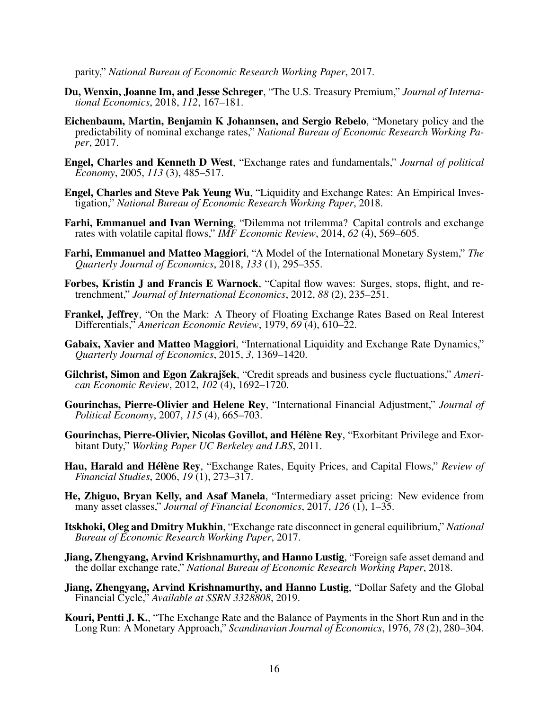parity," *National Bureau of Economic Research Working Paper*, 2017.

- Du, Wenxin, Joanne Im, and Jesse Schreger, "The U.S. Treasury Premium," *Journal of International Economics*, 2018, *112*, 167–181.
- Eichenbaum, Martin, Benjamin K Johannsen, and Sergio Rebelo, "Monetary policy and the predictability of nominal exchange rates," *National Bureau of Economic Research Working Paper*, 2017.
- Engel, Charles and Kenneth D West, "Exchange rates and fundamentals," *Journal of political Economy*, 2005, *113* (3), 485–517.
- Engel, Charles and Steve Pak Yeung Wu, "Liquidity and Exchange Rates: An Empirical Investigation," *National Bureau of Economic Research Working Paper*, 2018.
- Farhi, Emmanuel and Ivan Werning, "Dilemma not trilemma? Capital controls and exchange rates with volatile capital flows," *IMF Economic Review*, 2014, *62* (4), 569–605.
- Farhi, Emmanuel and Matteo Maggiori, "A Model of the International Monetary System," *The Quarterly Journal of Economics*, 2018, *133* (1), 295–355.
- Forbes, Kristin J and Francis E Warnock, "Capital flow waves: Surges, stops, flight, and retrenchment," *Journal of International Economics*, 2012, *88* (2), 235–251.
- Frankel, Jeffrey, "On the Mark: A Theory of Floating Exchange Rates Based on Real Interest Differentials," *American Economic Review*, 1979, *69* (4), 610–22.
- Gabaix, Xavier and Matteo Maggiori, "International Liquidity and Exchange Rate Dynamics," *Quarterly Journal of Economics*, 2015, *3*, 1369–1420.
- Gilchrist, Simon and Egon Zakrajšek, "Credit spreads and business cycle fluctuations," *American Economic Review*, 2012, *102* (4), 1692–1720.
- Gourinchas, Pierre-Olivier and Helene Rey, "International Financial Adjustment," *Journal of Political Economy*, 2007, *115* (4), 665–703.
- Gourinchas, Pierre-Olivier, Nicolas Govillot, and Hélène Rey, "Exorbitant Privilege and Exorbitant Duty," *Working Paper UC Berkeley and LBS*, 2011.
- Hau, Harald and Hélène Rey, "Exchange Rates, Equity Prices, and Capital Flows," *Review of Financial Studies*, 2006, *19* (1), 273–317.
- He, Zhiguo, Bryan Kelly, and Asaf Manela, "Intermediary asset pricing: New evidence from many asset classes," *Journal of Financial Economics*, 2017, *126* (1), 1–35.
- Itskhoki, Oleg and Dmitry Mukhin, "Exchange rate disconnect in general equilibrium," *National Bureau of Economic Research Working Paper*, 2017.
- Jiang, Zhengyang, Arvind Krishnamurthy, and Hanno Lustig, "Foreign safe asset demand and the dollar exchange rate," *National Bureau of Economic Research Working Paper*, 2018.
- Jiang, Zhengyang, Arvind Krishnamurthy, and Hanno Lustig, "Dollar Safety and the Global Financial Cycle," *Available at SSRN 3328808*, 2019.
- Kouri, Pentti J. K., "The Exchange Rate and the Balance of Payments in the Short Run and in the Long Run: A Monetary Approach," *Scandinavian Journal of Economics*, 1976, *78* (2), 280–304.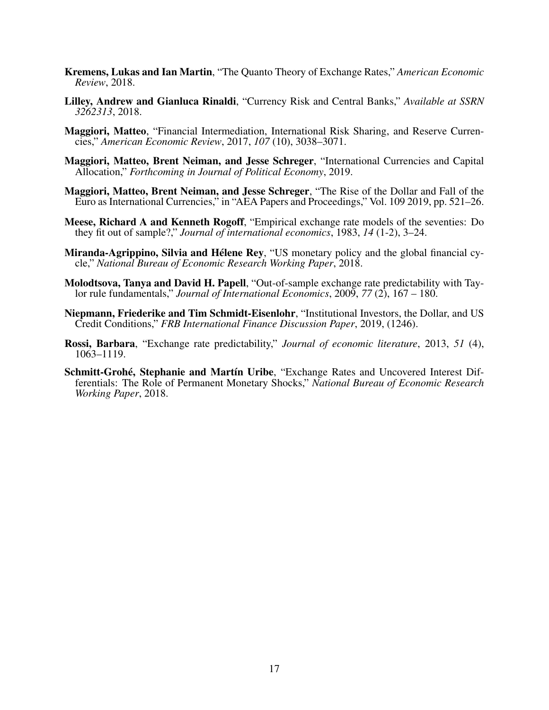- Kremens, Lukas and Ian Martin, "The Quanto Theory of Exchange Rates," *American Economic Review*, 2018.
- Lilley, Andrew and Gianluca Rinaldi, "Currency Risk and Central Banks," *Available at SSRN 3262313*, 2018.
- Maggiori, Matteo, "Financial Intermediation, International Risk Sharing, and Reserve Currencies," *American Economic Review*, 2017, *107* (10), 3038–3071.
- Maggiori, Matteo, Brent Neiman, and Jesse Schreger, "International Currencies and Capital Allocation," *Forthcoming in Journal of Political Economy*, 2019.
- Maggiori, Matteo, Brent Neiman, and Jesse Schreger, "The Rise of the Dollar and Fall of the Euro as International Currencies," in "AEA Papers and Proceedings," Vol. 109 2019, pp. 521–26.
- Meese, Richard A and Kenneth Rogoff, "Empirical exchange rate models of the seventies: Do they fit out of sample?," *Journal of international economics*, 1983, *14* (1-2), 3–24.
- Miranda-Agrippino, Silvia and Hélene Rey, "US monetary policy and the global financial cycle," *National Bureau of Economic Research Working Paper*, 2018.
- Molodtsova, Tanya and David H. Papell, "Out-of-sample exchange rate predictability with Taylor rule fundamentals," *Journal of International Economics*, 2009, *77* (2), 167 – 180.
- Niepmann, Friederike and Tim Schmidt-Eisenlohr, "Institutional Investors, the Dollar, and US Credit Conditions," *FRB International Finance Discussion Paper*, 2019, (1246).
- Rossi, Barbara, "Exchange rate predictability," *Journal of economic literature*, 2013, *51* (4), 1063–1119.
- Schmitt-Grohé, Stephanie and Martín Uribe, "Exchange Rates and Uncovered Interest Differentials: The Role of Permanent Monetary Shocks," *National Bureau of Economic Research Working Paper*, 2018.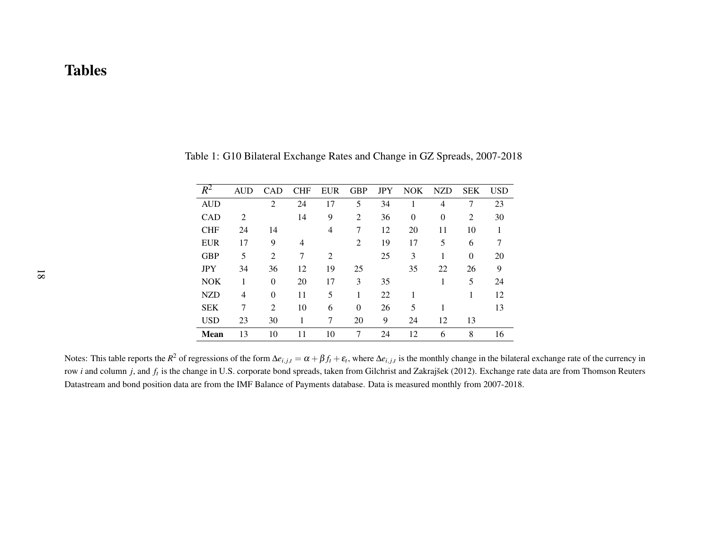| $\overline{R^2}$ | <b>AUD</b>     | <b>CAD</b>     | <b>CHF</b>     | <b>EUR</b>     | <b>GBP</b>     | <b>JPY</b> | <b>NOK</b> | <b>NZD</b>     | <b>SEK</b> | <b>USD</b> |
|------------------|----------------|----------------|----------------|----------------|----------------|------------|------------|----------------|------------|------------|
| <b>AUD</b>       |                | $\overline{2}$ | 24             | 17             | 5              | 34         |            | 4              | 7          | 23         |
| <b>CAD</b>       | $\overline{2}$ |                | 14             | 9              | $\overline{2}$ | 36         | $\theta$   | $\overline{0}$ | 2          | 30         |
| <b>CHF</b>       | 24             | 14             |                | $\overline{4}$ | 7              | 12         | 20         | 11             | 10         | 1          |
| <b>EUR</b>       | 17             | 9              | $\overline{4}$ |                | 2              | 19         | 17         | 5              | 6          | 7          |
| <b>GBP</b>       | 5              | $\overline{2}$ | 7              | 2              |                | 25         | 3          | 1              | $\Omega$   | 20         |
| <b>JPY</b>       | 34             | 36             | 12             | 19             | 25             |            | 35         | 22             | 26         | 9          |
| <b>NOK</b>       |                | $\theta$       | 20             | 17             | 3              | 35         |            | 1              | 5          | 24         |
| <b>NZD</b>       | 4              | $\theta$       | 11             | 5              | 1              | 22         |            |                |            | 12         |
| <b>SEK</b>       | 7              | $\overline{2}$ | 10             | 6              | $\theta$       | 26         | 5          | 1              |            | 13         |
| <b>USD</b>       | 23             | 30             |                | 7              | 20             | 9          | 24         | 12             | 13         |            |
| <b>Mean</b>      | 13             | 10             | 11             | 10             | 7              | 24         | 12         | 6              | 8          | 16         |

Table 1: G10 Bilateral Exchange Rates and Change in GZ Spreads, 2007-2018

Notes: This table reports the  $R^2$  of regressions of the form  $\Delta e_{i,j,t} = \alpha + \beta f_t + \varepsilon_t$ , where  $\Delta e_{i,j,t}$  is the monthly change in the bilateral exchange rate of the currency in row *<sup>i</sup>* and column *<sup>j</sup>*, and *<sup>f</sup><sup>t</sup>* is the change in U.S. corporate bond spreads, taken from Gilchrist and Zakrajšek (2012). Exchange rate data are from Thomson Reuters Datastream and bond position data are from the IMF Balance of Payments database. Data is measured monthly from 2007-2018.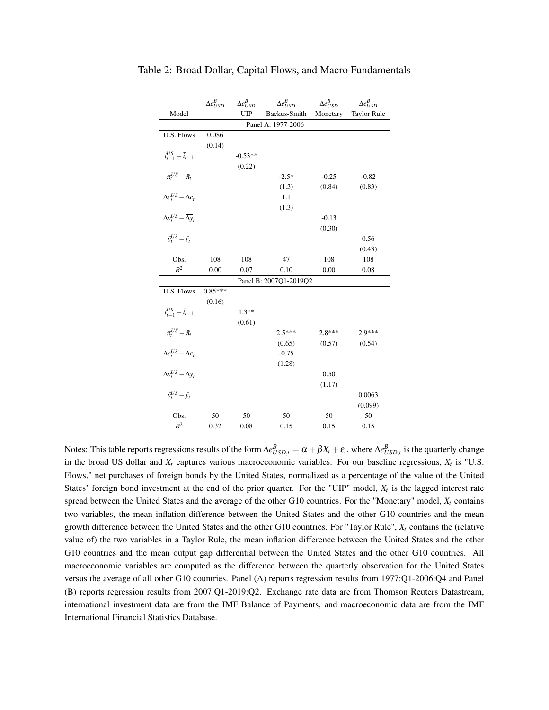|                                                                                 | $\overline{\Delta e}^B_{USD}$ | $\Delta e^B_{USD}$ | $\Delta e^B_{USD}$     | $\overline{\Delta e}^B_{USD}$ | $\Delta e^{B}_{USD}$ |  |  |  |
|---------------------------------------------------------------------------------|-------------------------------|--------------------|------------------------|-------------------------------|----------------------|--|--|--|
| Model                                                                           |                               | <b>UIP</b>         | Backus-Smith           | Monetary                      | <b>Taylor Rule</b>   |  |  |  |
|                                                                                 | Panel A: 1977-2006            |                    |                        |                               |                      |  |  |  |
| U.S. Flows                                                                      | 0.086                         |                    |                        |                               |                      |  |  |  |
|                                                                                 | (0.14)                        |                    |                        |                               |                      |  |  |  |
| $i_{t-1}^{US} - \bar{i}_{t-1}$                                                  |                               | $-0.53**$          |                        |                               |                      |  |  |  |
|                                                                                 |                               | (0.22)             |                        |                               |                      |  |  |  |
| $\pi_t^{US} - \bar{\pi}_t$                                                      |                               |                    | $-2.5*$                | $-0.25$                       | $-0.82$              |  |  |  |
|                                                                                 |                               |                    | (1.3)                  | (0.84)                        | (0.83)               |  |  |  |
| $\Delta c_t^{US} - \overline{\Delta c_t}$                                       |                               |                    | 1.1                    |                               |                      |  |  |  |
|                                                                                 |                               |                    | (1.3)                  |                               |                      |  |  |  |
| $\Delta y_t^{US} - \overline{\Delta y_t}$                                       |                               |                    |                        | $-0.13$                       |                      |  |  |  |
|                                                                                 |                               |                    |                        | (0.30)                        |                      |  |  |  |
| $\widetilde{y}_t^{US} - \overline{\widetilde{y}}_t$                             |                               |                    |                        |                               | 0.56                 |  |  |  |
|                                                                                 |                               |                    |                        |                               | (0.43)               |  |  |  |
| Obs.                                                                            | 108                           | 108                | 47                     | 108                           | 108                  |  |  |  |
| $R^2$                                                                           | 0.00                          | 0.07               | 0.10                   | 0.00                          | 0.08                 |  |  |  |
|                                                                                 |                               |                    | Panel B: 2007Q1-2019Q2 |                               |                      |  |  |  |
| U.S. Flows                                                                      | $0.85***$                     |                    |                        |                               |                      |  |  |  |
|                                                                                 | (0.16)                        |                    |                        |                               |                      |  |  |  |
| $i_{t-1}^{US} - \bar{i}_{t-1}$                                                  |                               | $1.3**$            |                        |                               |                      |  |  |  |
|                                                                                 |                               | (0.61)             |                        |                               |                      |  |  |  |
| $\pi_t^{US} - \bar{\pi}_t$                                                      |                               |                    | $2.5***$               | $2.8***$                      | $2.9***$             |  |  |  |
|                                                                                 |                               |                    | (0.65)                 | (0.57)                        | (0.54)               |  |  |  |
| $\Delta c_t^{US} - \overline{\Delta c_t}$                                       |                               |                    | $-0.75$                |                               |                      |  |  |  |
|                                                                                 |                               |                    | (1.28)                 |                               |                      |  |  |  |
| $\Delta y_t^{US} - \overline{\Delta y}_t$                                       |                               |                    |                        | 0.50                          |                      |  |  |  |
|                                                                                 |                               |                    |                        | (1.17)                        |                      |  |  |  |
| $\widetilde{\widetilde{v}_{t}}^{US} - \overline{\widetilde{\widetilde{v}}_{t}}$ |                               |                    |                        |                               | 0.0063               |  |  |  |
|                                                                                 |                               |                    |                        |                               | (0.099)              |  |  |  |
| Obs.                                                                            | 50                            | 50                 | 50                     | 50                            | 50                   |  |  |  |
| $R^2$                                                                           | 0.32                          | 0.08               | 0.15                   | 0.15                          | 0.15                 |  |  |  |

Table 2: Broad Dollar, Capital Flows, and Macro Fundamentals

Notes: This table reports regressions results of the form  $\Delta e_{USD,t}^B = \alpha + \beta X_t + \varepsilon_t$ , where  $\Delta e_{USD,t}^B$  is the quarterly change in the broad US dollar and  $X_t$  captures various macroeconomic variables. For our baseline regressions,  $X_t$  is "U.S. Flows," net purchases of foreign bonds by the United States, normalized as a percentage of the value of the United States' foreign bond investment at the end of the prior quarter. For the "UIP" model,  $X_t$  is the lagged interest rate spread between the United States and the average of the other G10 countries. For the "Monetary" model,  $X_t$  contains two variables, the mean inflation difference between the United States and the other G10 countries and the mean growth difference between the United States and the other G10 countries. For "Taylor Rule", *X<sup>t</sup>* contains the (relative value of) the two variables in a Taylor Rule, the mean inflation difference between the United States and the other G10 countries and the mean output gap differential between the United States and the other G10 countries. All macroeconomic variables are computed as the difference between the quarterly observation for the United States versus the average of all other G10 countries. Panel (A) reports regression results from 1977:Q1-2006:Q4 and Panel (B) reports regression results from 2007:Q1-2019:Q2. Exchange rate data are from Thomson Reuters Datastream, international investment data are from the IMF Balance of Payments, and macroeconomic data are from the IMF International Financial Statistics Database.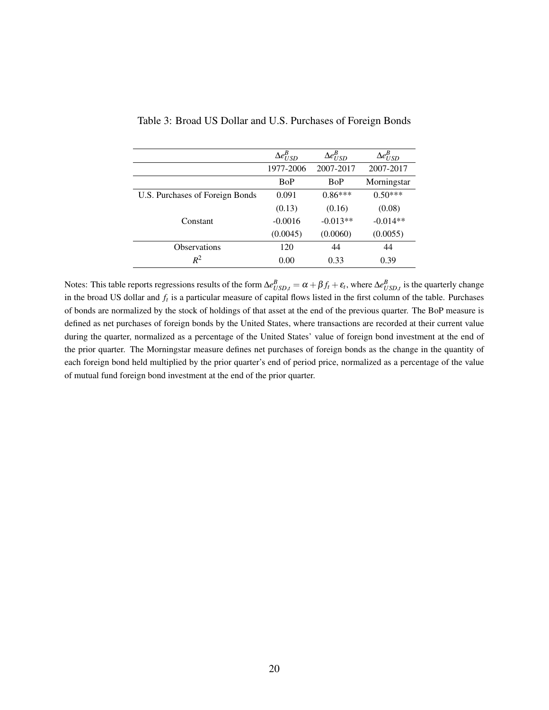|                                 | $\Delta e^B_{USD}$ | $\Delta e^B_{USD}$ | $\Delta e^B_{USD}$ |
|---------------------------------|--------------------|--------------------|--------------------|
|                                 | 1977-2006          | 2007-2017          | 2007-2017          |
|                                 | BoP                | <b>BoP</b>         | Morningstar        |
| U.S. Purchases of Foreign Bonds | 0.091              | $0.86***$          | $0.50***$          |
|                                 | (0.13)             | (0.16)             | (0.08)             |
| Constant                        | $-0.0016$          | $-0.013**$         | $-0.014**$         |
|                                 | (0.0045)           | (0.0060)           | (0.0055)           |
| <b>Observations</b>             | 120                | 44                 | 44                 |
| $R^2$                           | 0.00               | 0.33               | 0.39               |

### Table 3: Broad US Dollar and U.S. Purchases of Foreign Bonds

Notes: This table reports regressions results of the form  $\Delta e_{USD,t}^B = \alpha + \beta f_t + \varepsilon_t$ , where  $\Delta e_{USD,t}^B$  is the quarterly change in the broad US dollar and *f<sup>t</sup>* is a particular measure of capital flows listed in the first column of the table. Purchases of bonds are normalized by the stock of holdings of that asset at the end of the previous quarter. The BoP measure is defined as net purchases of foreign bonds by the United States, where transactions are recorded at their current value during the quarter, normalized as a percentage of the United States' value of foreign bond investment at the end of the prior quarter. The Morningstar measure defines net purchases of foreign bonds as the change in the quantity of each foreign bond held multiplied by the prior quarter's end of period price, normalized as a percentage of the value of mutual fund foreign bond investment at the end of the prior quarter.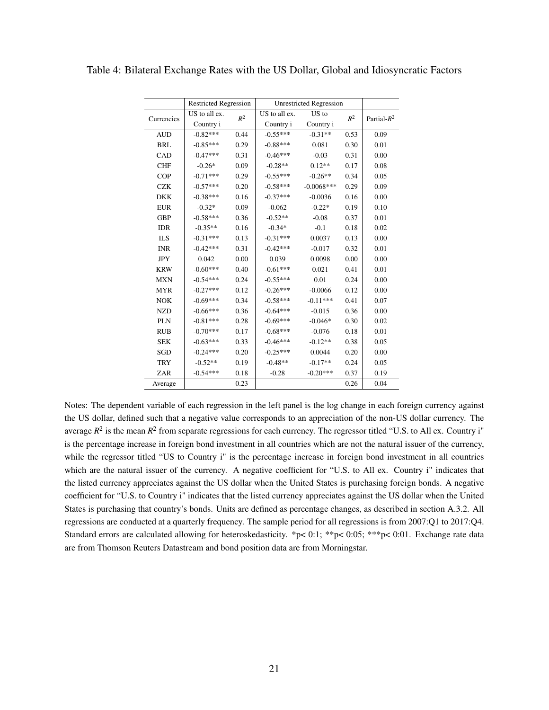|            | <b>Restricted Regression</b> |       | <b>Unrestricted Regression</b> |              |                |                |
|------------|------------------------------|-------|--------------------------------|--------------|----------------|----------------|
| Currencies | US to all ex.                | $R^2$ | US to all ex.                  | US to        | $\mathbb{R}^2$ | Partial- $R^2$ |
|            | Country i                    |       | Country i                      | Country i    |                |                |
| <b>AUD</b> | $-0.82***$                   | 0.44  | $-0.55***$                     | $-0.31**$    | 0.53           | 0.09           |
| <b>BRL</b> | $-0.85***$                   | 0.29  | $-0.88***$                     | 0.081        | 0.30           | 0.01           |
| CAD        | $-0.47***$                   | 0.31  | $-0.46***$                     | $-0.03$      | 0.31           | 0.00           |
| <b>CHF</b> | $-0.26*$                     | 0.09  | $-0.28**$                      | $0.12**$     | 0.17           | 0.08           |
| <b>COP</b> | $-0.71***$                   | 0.29  | $-0.55***$                     | $-0.26**$    | 0.34           | 0.05           |
| <b>CZK</b> | $-0.57***$                   | 0.20  | $-0.58***$                     | $-0.0068***$ | 0.29           | 0.09           |
| <b>DKK</b> | $-0.38***$                   | 0.16  | $-0.37***$                     | $-0.0036$    | 0.16           | 0.00           |
| <b>EUR</b> | $-0.32*$                     | 0.09  | $-0.062$                       | $-0.22*$     | 0.19           | 0.10           |
| <b>GBP</b> | $-0.58***$                   | 0.36  | $-0.52**$                      | $-0.08$      | 0.37           | 0.01           |
| <b>IDR</b> | $-0.35**$                    | 0.16  | $-0.34*$                       | $-0.1$       | 0.18           | 0.02           |
| <b>ILS</b> | $-0.31***$                   | 0.13  | $-0.31***$                     | 0.0037       | 0.13           | 0.00           |
| <b>INR</b> | $-0.42***$                   | 0.31  | $-0.42***$                     | $-0.017$     | 0.32           | 0.01           |
| <b>JPY</b> | 0.042                        | 0.00  | 0.039                          | 0.0098       | 0.00           | 0.00           |
| <b>KRW</b> | $-0.60***$                   | 0.40  | $-0.61***$                     | 0.021        | 0.41           | 0.01           |
| <b>MXN</b> | $-0.54***$                   | 0.24  | $-0.55***$                     | 0.01         | 0.24           | 0.00           |
| <b>MYR</b> | $-0.27***$                   | 0.12  | $-0.26***$                     | $-0.0066$    | 0.12           | 0.00           |
| <b>NOK</b> | $-0.69***$                   | 0.34  | $-0.58***$                     | $-0.11***$   | 0.41           | 0.07           |
| <b>NZD</b> | $-0.66***$                   | 0.36  | $-0.64***$                     | $-0.015$     | 0.36           | 0.00           |
| PLN        | $-0.81***$                   | 0.28  | $-0.69***$                     | $-0.046*$    | 0.30           | 0.02           |
| <b>RUB</b> | $-0.70***$                   | 0.17  | $-0.68***$                     | $-0.076$     | 0.18           | 0.01           |
| <b>SEK</b> | $-0.63***$                   | 0.33  | $-0.46***$                     | $-0.12**$    | 0.38           | 0.05           |
| SGD        | $-0.24***$                   | 0.20  | $-0.25***$                     | 0.0044       | 0.20           | 0.00           |
| <b>TRY</b> | $-0.52**$                    | 0.19  | $-0.48**$                      | $-0.17**$    | 0.24           | 0.05           |
| ZAR        | $-0.54***$                   | 0.18  | $-0.28$                        | $-0.20***$   | 0.37           | 0.19           |
| Average    |                              | 0.23  |                                |              | 0.26           | 0.04           |

Table 4: Bilateral Exchange Rates with the US Dollar, Global and Idiosyncratic Factors

Notes: The dependent variable of each regression in the left panel is the log change in each foreign currency against the US dollar, defined such that a negative value corresponds to an appreciation of the non-US dollar currency. The average  $R^2$  is the mean  $R^2$  from separate regressions for each currency. The regressor titled "U.S. to All ex. Country i" is the percentage increase in foreign bond investment in all countries which are not the natural issuer of the currency, while the regressor titled "US to Country i" is the percentage increase in foreign bond investment in all countries which are the natural issuer of the currency. A negative coefficient for "U.S. to All ex. Country i" indicates that the listed currency appreciates against the US dollar when the United States is purchasing foreign bonds. A negative coefficient for "U.S. to Country i" indicates that the listed currency appreciates against the US dollar when the United States is purchasing that country's bonds. Units are defined as percentage changes, as described in section A.3.2. All regressions are conducted at a quarterly frequency. The sample period for all regressions is from 2007:Q1 to 2017:Q4. Standard errors are calculated allowing for heteroskedasticity. \*p< 0:1; \*\*p< 0:05; \*\*\*p< 0:01. Exchange rate data are from Thomson Reuters Datastream and bond position data are from Morningstar.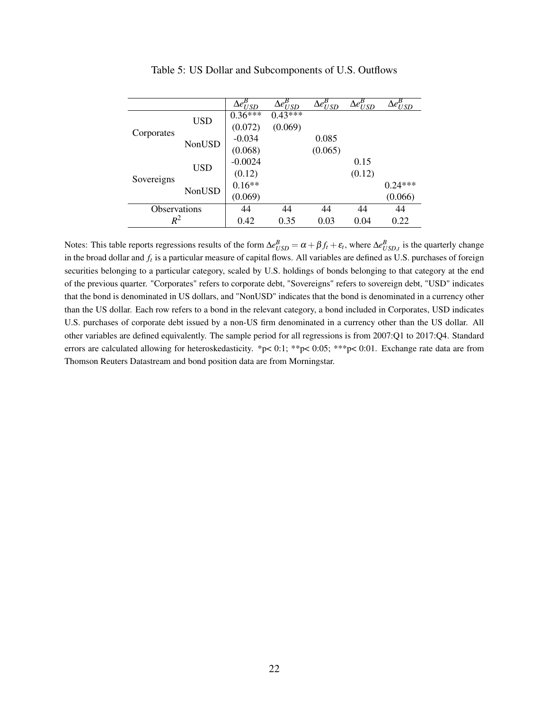|                     |        | $\bar{\Delta e^{B}_{USD}}$ | $\Delta \overline{e^B_{USD}}$ | $\Delta \overline{e^{B}_{USD}}$ | $\Delta e^{\overline{B}}_{USD}$ | $\Delta e^{\overline{B}}_{USD}$ |
|---------------------|--------|----------------------------|-------------------------------|---------------------------------|---------------------------------|---------------------------------|
|                     | USD    | $0.36***$                  | $0.43***$                     |                                 |                                 |                                 |
|                     |        | (0.072)                    | (0.069)                       |                                 |                                 |                                 |
| Corporates          | NonUSD | $-0.034$                   |                               | 0.085                           |                                 |                                 |
|                     |        | (0.068)                    |                               | (0.065)                         |                                 |                                 |
|                     | USD    | $-0.0024$                  |                               |                                 | 0.15                            |                                 |
|                     |        | (0.12)                     |                               |                                 | (0.12)                          |                                 |
| Sovereigns          | NonUSD | $0.16**$                   |                               |                                 |                                 | $0.24***$                       |
|                     |        | (0.069)                    |                               |                                 |                                 | (0.066)                         |
| <b>Observations</b> |        | 44                         | 44                            | 44                              | 44                              | 44                              |
| $R^2$               |        | 0.42                       | 0.35                          | 0.03                            | 0.04                            | 0.22                            |

Table 5: US Dollar and Subcomponents of U.S. Outflows

Notes: This table reports regressions results of the form  $\Delta e_{USD}^B = \alpha + \beta f_t + \varepsilon_t$ , where  $\Delta e_{USD,t}^B$  is the quarterly change in the broad dollar and *f<sup>t</sup>* is a particular measure of capital flows. All variables are defined as U.S. purchases of foreign securities belonging to a particular category, scaled by U.S. holdings of bonds belonging to that category at the end of the previous quarter. "Corporates" refers to corporate debt, "Sovereigns" refers to sovereign debt, "USD" indicates that the bond is denominated in US dollars, and "NonUSD" indicates that the bond is denominated in a currency other than the US dollar. Each row refers to a bond in the relevant category, a bond included in Corporates, USD indicates U.S. purchases of corporate debt issued by a non-US firm denominated in a currency other than the US dollar. All other variables are defined equivalently. The sample period for all regressions is from 2007:Q1 to 2017:Q4. Standard errors are calculated allowing for heteroskedasticity. \*p< 0:1; \*\*p< 0:05; \*\*\*p< 0:01. Exchange rate data are from Thomson Reuters Datastream and bond position data are from Morningstar.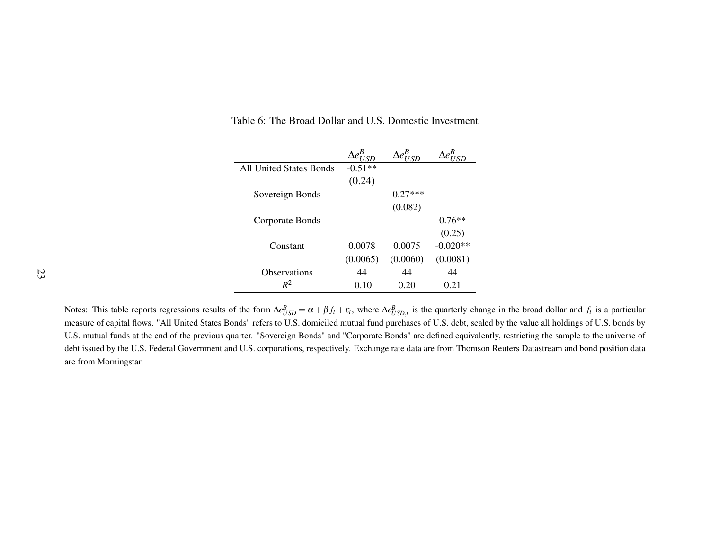|                                | 7 S D     | $\bar{\Delta}e_{I/\underline{SD}}^{B}$ |            |
|--------------------------------|-----------|----------------------------------------|------------|
| <b>All United States Bonds</b> | $-0.51**$ |                                        |            |
|                                | (0.24)    |                                        |            |
| Sovereign Bonds                |           | $-0.27***$                             |            |
|                                |           | (0.082)                                |            |
| Corporate Bonds                |           |                                        | $0.76**$   |
|                                |           |                                        | (0.25)     |
| Constant                       | 0.0078    | 0.0075                                 | $-0.020**$ |
|                                | (0.0065)  | (0.0060)                               | (0.0081)   |
| <b>Observations</b>            | 44        | 44                                     | 44         |
| $R^2$                          | 0.10      | 0.20                                   | 0.21       |

Table 6: The Broad Dollar and U.S. Domestic Investment

Notes: This table reports regressions results of the form  $\Delta e_{USD}^B = \alpha + \beta f_t + \varepsilon_t$ , where  $\Delta e_{USD,t}^B$  is the quarterly change in the broad dollar and  $f_t$  is a particular measure of capital flows. "All United States Bonds" refers to U.S. domiciled mutual fund purchases of U.S. debt, scaled by the value all holdings of U.S. bonds by U.S. mutual funds at the end of the previous quarter. "Sovereign Bonds" and "Corporate Bonds" are defined equivalently, restricting the sample to the universe ofdebt issued by the U.S. Federal Government and U.S. corporations, respectively. Exchange rate data are from Thomson Reuters Datastream and bond position dataare from Morningstar.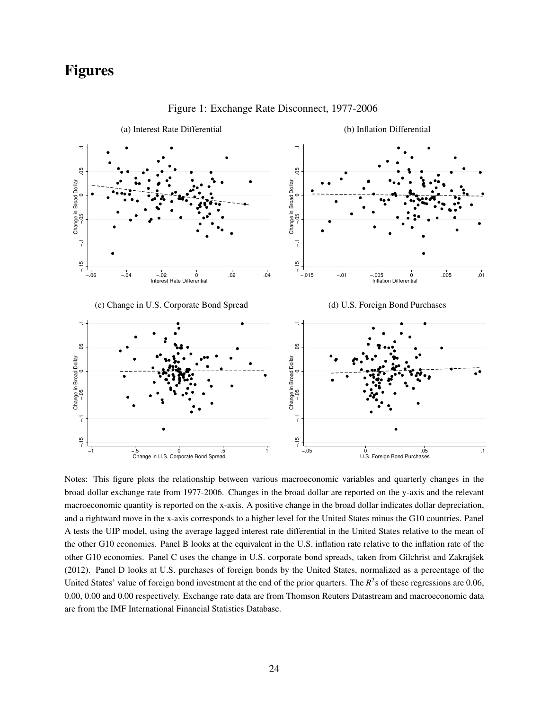### Figures



Figure 1: Exchange Rate Disconnect, 1977-2006

Notes: This figure plots the relationship between various macroeconomic variables and quarterly changes in the broad dollar exchange rate from 1977-2006. Changes in the broad dollar are reported on the y-axis and the relevant macroeconomic quantity is reported on the x-axis. A positive change in the broad dollar indicates dollar depreciation, and a rightward move in the x-axis corresponds to a higher level for the United States minus the G10 countries. Panel A tests the UIP model, using the average lagged interest rate differential in the United States relative to the mean of the other G10 economies. Panel B looks at the equivalent in the U.S. inflation rate relative to the inflation rate of the other G10 economies. Panel C uses the change in U.S. corporate bond spreads, taken from Gilchrist and Zakrajšek (2012). Panel D looks at U.S. purchases of foreign bonds by the United States, normalized as a percentage of the United States' value of foreign bond investment at the end of the prior quarters. The  $R^2$ s of these regressions are 0.06, 0.00, 0.00 and 0.00 respectively. Exchange rate data are from Thomson Reuters Datastream and macroeconomic data are from the IMF International Financial Statistics Database.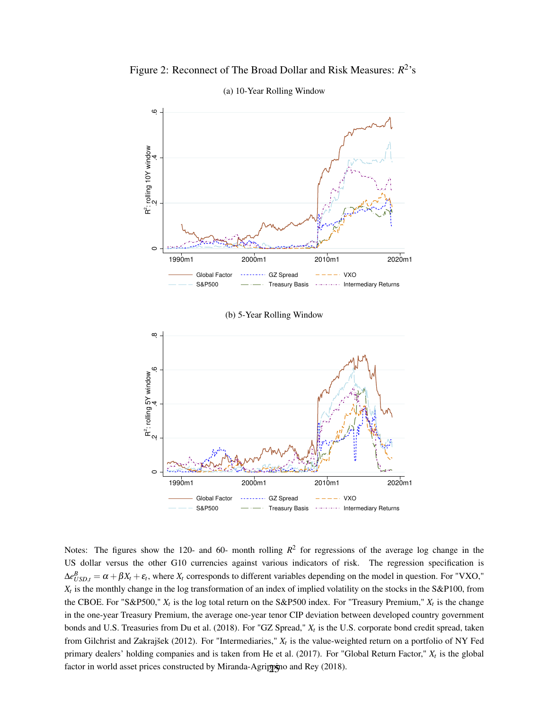Figure 2: Reconnect of The Broad Dollar and Risk Measures:  $R^2$ 's



(a) 10-Year Rolling Window

(b) 5-Year Rolling Window



Notes: The figures show the 120- and 60- month rolling  $R^2$  for regressions of the average log change in the US dollar versus the other G10 currencies against various indicators of risk. The regression specification is  $\Delta e_{USD,t}^B = \alpha + \beta X_t + \varepsilon_t$ , where  $X_t$  corresponds to different variables depending on the model in question. For "VXO," *Xt* is the monthly change in the log transformation of an index of implied volatility on the stocks in the S&P100, from the CBOE. For "S&P500,"  $X_t$  is the log total return on the S&P500 index. For "Treasury Premium,"  $X_t$  is the change in the one-year Treasury Premium, the average one-year tenor CIP deviation between developed country government bonds and U.S. Treasuries from Du et al. (2018). For "GZ Spread," *X<sup>t</sup>* is the U.S. corporate bond credit spread, taken from Gilchrist and Zakrajšek (2012). For "Intermediaries," *X<sup>t</sup>* is the value-weighted return on a portfolio of NY Fed primary dealers' holding companies and is taken from He et al. (2017). For "Global Return Factor," *X<sup>t</sup>* is the global factor in world asset prices constructed by Miranda-Agrippino and Rey (2018).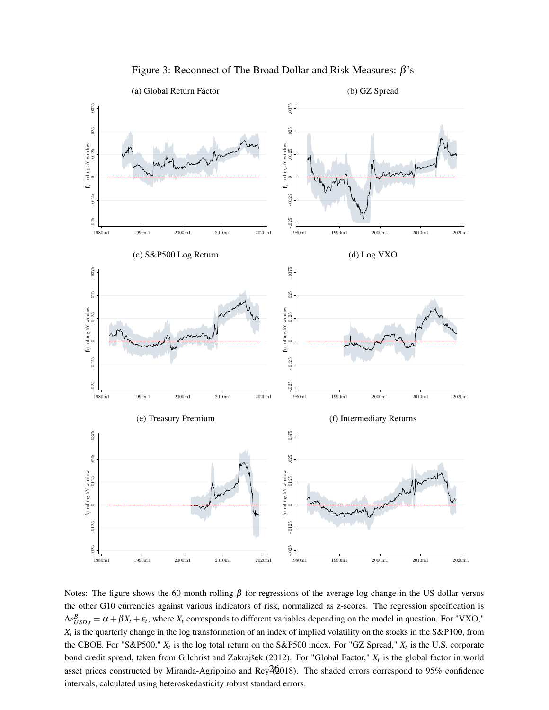

Figure 3: Reconnect of The Broad Dollar and Risk Measures:  $\beta$ 's

Notes: The figure shows the 60 month rolling  $\beta$  for regressions of the average log change in the US dollar versus the other G10 currencies against various indicators of risk, normalized as z-scores. The regression specification is  $\Delta e_{USD,t}^B = \alpha + \beta X_t + \varepsilon_t$ , where  $X_t$  corresponds to different variables depending on the model in question. For "VXO," *Xt* is the quarterly change in the log transformation of an index of implied volatility on the stocks in the S&P100, from the CBOE. For "S&P500,"  $X_t$  is the log total return on the S&P500 index. For "GZ Spread,"  $X_t$  is the U.S. corporate bond credit spread, taken from Gilchrist and Zakrajšek (2012). For "Global Factor," *X<sup>t</sup>* is the global factor in world asset prices constructed by Miranda-Agrippino and Rey $26018$ ). The shaded errors correspond to 95% confidence intervals, calculated using heteroskedasticity robust standard errors.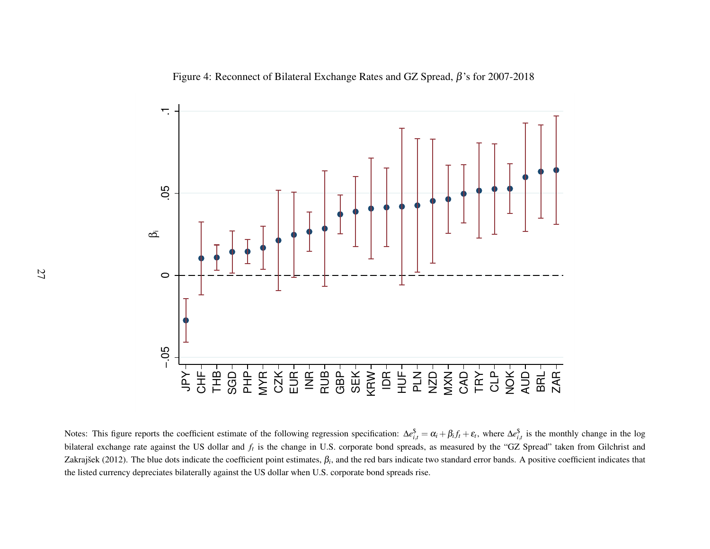Figure 4: Reconnect of Bilateral Exchange Rates and GZ Spread,  $\beta$ 's for 2007-2018



Notes: This figure reports the coefficient estimate of the following regression specification:  $\Delta e_{i,t}^{\$} = \alpha_i + \beta_i f_t + \varepsilon_t$ , where  $\Delta e_{i,t}^{\$}$  is the monthly change in the log bilateral exchange rate against the US dollar and*ft* is the change in U.S. corporate bond spreads, as measured by the "GZ Spread" taken from Gilchrist andZakrajšek (2012). The blue dots indicate the coefficient point estimates,  $\beta_i$ , and the red bars indicate two standard error bands. A positive coefficient indicates that the listed currency depreciates bilaterally against the US dollar when U.S. corporate bond spreads rise.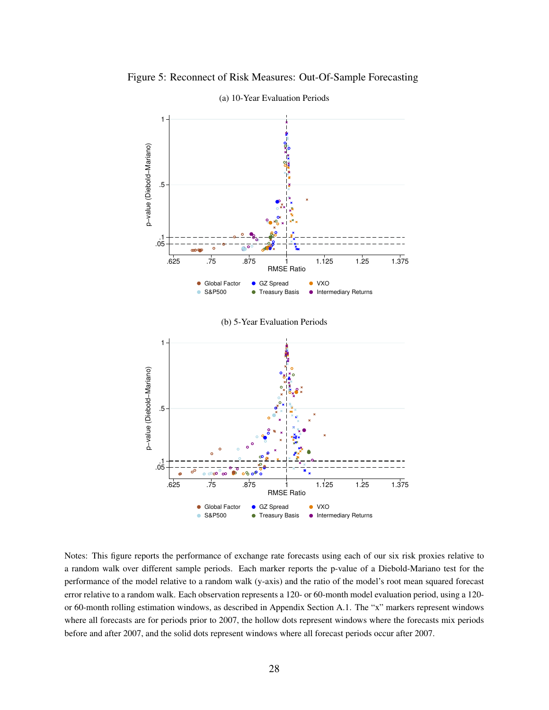

Figure 5: Reconnect of Risk Measures: Out-Of-Sample Forecasting (a) 10-Year Evaluation Periods



Notes: This figure reports the performance of exchange rate forecasts using each of our six risk proxies relative to a random walk over different sample periods. Each marker reports the p-value of a Diebold-Mariano test for the performance of the model relative to a random walk (y-axis) and the ratio of the model's root mean squared forecast error relative to a random walk. Each observation represents a 120- or 60-month model evaluation period, using a 120 or 60-month rolling estimation windows, as described in Appendix Section A.1. The "x" markers represent windows where all forecasts are for periods prior to 2007, the hollow dots represent windows where the forecasts mix periods before and after 2007, and the solid dots represent windows where all forecast periods occur after 2007.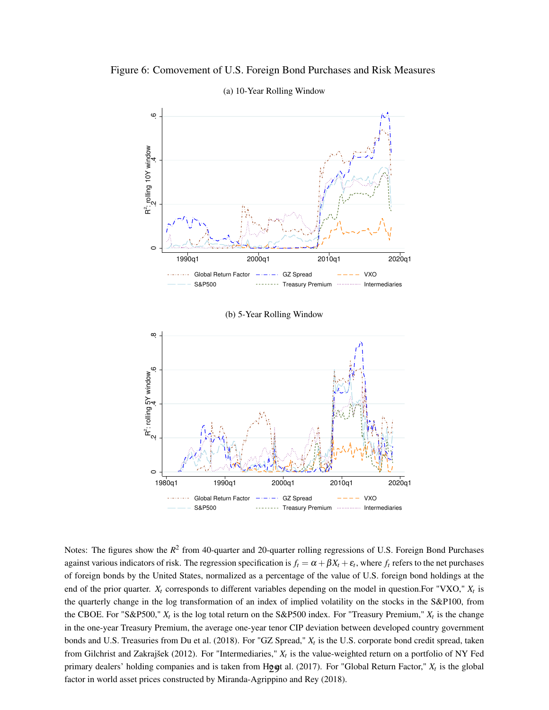

### Figure 6: Comovement of U.S. Foreign Bond Purchases and Risk Measures (a) 10-Year Rolling Window

œ .2 .4 .6 .8 R<sup>2</sup>: rolling 5Y window<br>.  $\circ$ 1980q1 1990q1 2000q1 2010q1 2020q1 Global Return Factor  $-$  GZ Spread  $-$  VXO  $\sim 100$ S&P500 -------- Treasury Premium Intermediaries

Notes: The figures show the  $R^2$  from 40-quarter and 20-quarter rolling regressions of U.S. Foreign Bond Purchases against various indicators of risk. The regression specification is  $f_t = \alpha + \beta X_t + \varepsilon_t$ , where  $f_t$  refers to the net purchases of foreign bonds by the United States, normalized as a percentage of the value of U.S. foreign bond holdings at the end of the prior quarter.  $X_t$  corresponds to different variables depending on the model in question. For "VXO,"  $X_t$  is the quarterly change in the log transformation of an index of implied volatility on the stocks in the S&P100, from the CBOE. For "S&P500,"  $X_t$  is the log total return on the S&P500 index. For "Treasury Premium,"  $X_t$  is the change in the one-year Treasury Premium, the average one-year tenor CIP deviation between developed country government bonds and U.S. Treasuries from Du et al. (2018). For "GZ Spread," *X<sup>t</sup>* is the U.S. corporate bond credit spread, taken from Gilchrist and Zakrajšek (2012). For "Intermediaries," *X<sup>t</sup>* is the value-weighted return on a portfolio of NY Fed primary dealers' holding companies and is taken from  $H_Q$ gt al. (2017). For "Global Return Factor,"  $X_t$  is the global factor in world asset prices constructed by Miranda-Agrippino and Rey (2018).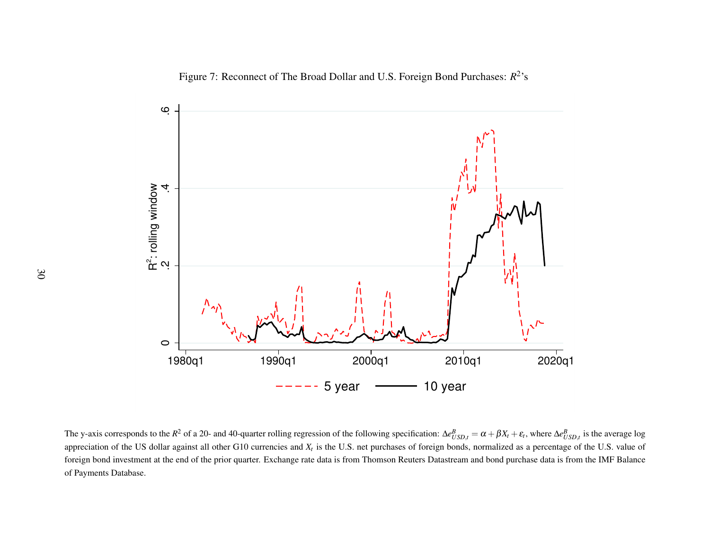Figure 7: Reconnect of The Broad Dollar and U.S. Foreign Bond Purchases:*R*<sup>2</sup>'s



The y-axis corresponds to the *R*<sup>2</sup> of a 20- and 40-quarter rolling regression of the following specification: Δ*e*  appreciation of the US dollar against all other G10 currencies and*Xt* is the U.S. net purchases of foreign bonds, normalized as <sup>a</sup> percentage of the U.S. value of  $\frac{B}{USD,t} = \alpha + \beta X_t + \varepsilon_t$ , where  $\Delta e$ *B USD*,*<sup>t</sup>* is the average log foreign bond investment at the end of the prior quarter. Exchange rate data is from Thomson Reuters Datastream and bond purchase data is from the IMF Balanceof Payments Database.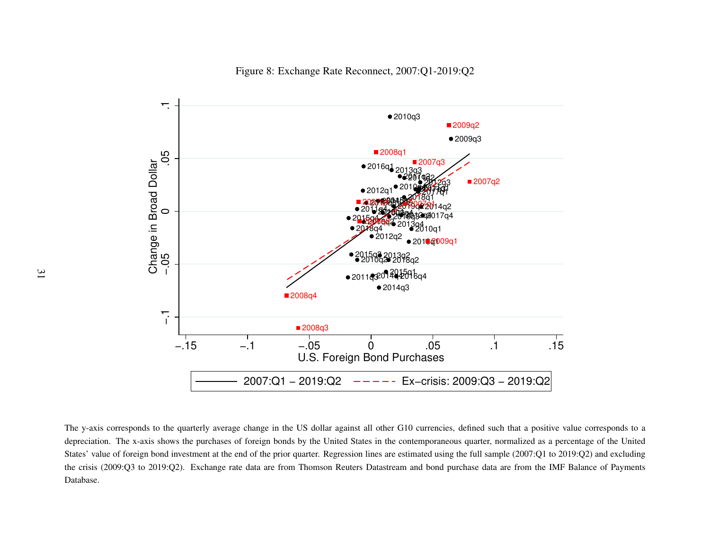

Figure 8: Exchange Rate Reconnect, 2007:Q1-2019:Q2

The y-axis corresponds to the quarterly average change in the US dollar against all other G10 currencies, defined such that <sup>a</sup> positive value corresponds to <sup>a</sup>depreciation. The x-axis shows the purchases of foreign bonds by the United States in the contemporaneous quarter, normalized as <sup>a</sup> percentage of the UnitedStates' value of foreign bond investment at the end of the prior quarter. Regression lines are estimated using the full sample (2007:Q1 to 2019:Q2) and excluding the crisis (2009:Q3 to 2019:Q2). Exchange rate data are from Thomson Reuters Datastream and bond purchase data are from the IMF Balance of PaymentsDatabase.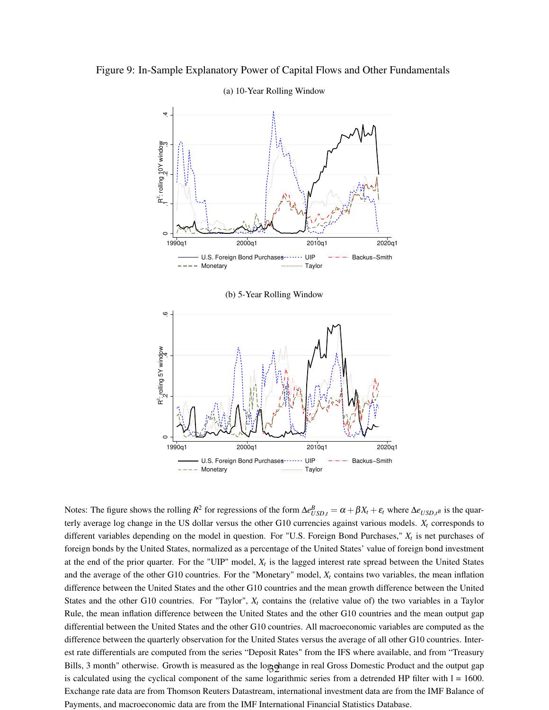



#### (a) 10-Year Rolling Window

(b) 5-Year Rolling Window



Notes: The figure shows the rolling  $R^2$  for regressions of the form  $\Delta e_{USD,t}^B = \alpha + \beta X_t + \varepsilon_t$  where  $\Delta e_{USD,t^B}$  is the quarterly average log change in the US dollar versus the other G10 currencies against various models. *X<sup>t</sup>* corresponds to different variables depending on the model in question. For "U.S. Foreign Bond Purchases," *X<sup>t</sup>* is net purchases of foreign bonds by the United States, normalized as a percentage of the United States' value of foreign bond investment at the end of the prior quarter. For the "UIP" model,  $X_t$  is the lagged interest rate spread between the United States and the average of the other G10 countries. For the "Monetary" model,  $X_t$  contains two variables, the mean inflation difference between the United States and the other G10 countries and the mean growth difference between the United States and the other G10 countries. For "Taylor",  $X_t$  contains the (relative value of) the two variables in a Taylor Rule, the mean inflation difference between the United States and the other G10 countries and the mean output gap differential between the United States and the other G10 countries. All macroeconomic variables are computed as the difference between the quarterly observation for the United States versus the average of all other G10 countries. Interest rate differentials are computed from the series "Deposit Rates" from the IFS where available, and from "Treasury Bills, 3 month" otherwise. Growth is measured as the logghange in real Gross Domestic Product and the output gap is calculated using the cyclical component of the same logarithmic series from a detrended HP filter with  $l = 1600$ . Exchange rate data are from Thomson Reuters Datastream, international investment data are from the IMF Balance of Payments, and macroeconomic data are from the IMF International Financial Statistics Database.